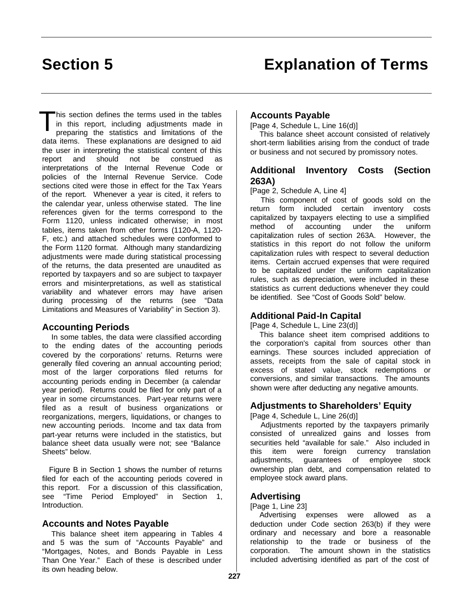his section defines the terms used in the tables in this report, including adjustments made in preparing the statistics and limitations of the data items. These explanations are designed to aid the user in interpreting the statistical content of this report and should not be construed as interpretations of the Internal Revenue Code or policies of the Internal Revenue Service. Code sections cited were those in effect for the Tax Years of the report. Whenever a year is cited, it refers to the calendar year, unless otherwise stated. The line references given for the terms correspond to the Form 1120, unless indicated otherwise; in most tables, items taken from other forms (1120-A, 1120- F, etc.) and attached schedules were conformed to the Form 1120 format. Although many standardizing adjustments were made during statistical processing of the returns, the data presented are unaudited as reported by taxpayers and so are subject to taxpayer errors and misinterpretations, as well as statistical variability and whatever errors may have arisen during processing of the returns (see "Data Limitations and Measures of Variability" in Section 3). T

### **Accounting Periods**

In some tables, the data were classified according to the ending dates of the accounting periods covered by the corporations' returns. Returns were generally filed covering an annual accounting period; most of the larger corporations filed returns for accounting periods ending in December (a calendar year period). Returns could be filed for only part of a year in some circumstances. Part-year returns were filed as a result of business organizations or reorganizations, mergers, liquidations, or changes to new accounting periods. Income and tax data from part-year returns were included in the statistics, but balance sheet data usually were not; see "Balance Sheets" below.

Figure B in Section 1 shows the number of returns filed for each of the accounting periods covered in this report. For a discussion of this classification, see "Time Period Employed" in Section 1, Introduction.

### **Accounts and Notes Payable**

This balance sheet item appearing in Tables 4 and 5 was the sum of "Accounts Payable" and "Mortgages, Notes, and Bonds Payable in Less Than One Year." Each of these is described under its own heading below.

### **Accounts Payable**

[Page 4, Schedule L, Line 16(d)]

This balance sheet account consisted of relatively short-term liabilities arising from the conduct of trade or business and not secured by promissory notes.

# **Additional Inventory Costs (Section 263A)**

[Page 2, Schedule A, Line 4]

This component of cost of goods sold on the return form included certain inventory costs capitalized by taxpayers electing to use a simplified method of accounting under the uniform capitalization rules of section 263A. However, the statistics in this report do not follow the uniform capitalization rules with respect to several deduction items. Certain accrued expenses that were required to be capitalized under the uniform capitalization rules, such as depreciation, were included in these statistics as current deductions whenever they could be identified. See "Cost of Goods Sold" below.

# **Additional Paid-In Capital**

[Page 4, Schedule L, Line 23(d)]

This balance sheet item comprised additions to the corporation's capital from sources other than earnings. These sources included appreciation of assets, receipts from the sale of capital stock in excess of stated value, stock redemptions or conversions, and similar transactions. The amounts shown were after deducting any negative amounts.

# **Adjustments to Shareholders' Equity**

[Page 4, Schedule L, Line 26(d)]

Adjustments reported by the taxpayers primarily consisted of unrealized gains and losses from securities held "available for sale." Also included in this item were foreign currency translation adjustments, guarantees of employee stock ownership plan debt, and compensation related to employee stock award plans.

### **Advertising**

[Page 1, Line 23]

Advertising expenses were allowed as a deduction under Code section 263(b) if they were ordinary and necessary and bore a reasonable relationship to the trade or business of the corporation. The amount shown in the statistics included advertising identified as part of the cost of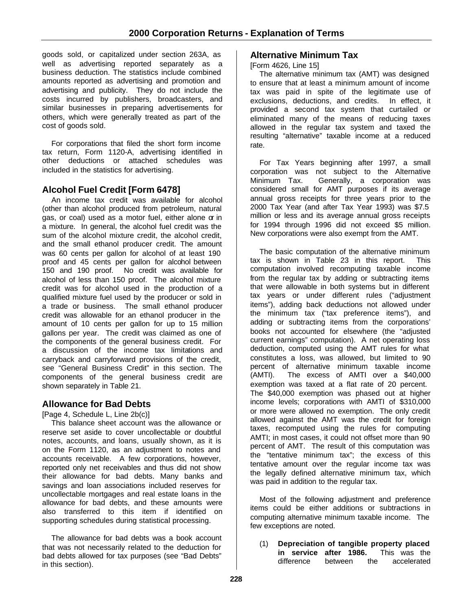goods sold, or capitalized under section 263A, as well as advertising reported separately as a business deduction. The statistics include combined amounts reported as advertising and promotion and advertising and publicity. They do not include the costs incurred by publishers, broadcasters, and similar businesses in preparing advertisements for others, which were generally treated as part of the cost of goods sold.

For corporations that filed the short form income tax return, Form 1120-A, advertising identified in other deductions or attached schedules was included in the statistics for advertising.

# **Alcohol Fuel Credit [Form 6478]**

An income tax credit was available for alcohol (other than alcohol produced from petroleum, natural gas, or coal) used as a motor fuel, either alone or in a mixture. In general, the alcohol fuel credit was the sum of the alcohol mixture credit, the alcohol credit, and the small ethanol producer credit. The amount was 60 cents per gallon for alcohol of at least 190 proof and 45 cents per gallon for alcohol between 150 and 190 proof. No credit was available for alcohol of less than 150 proof. The alcohol mixture credit was for alcohol used in the production of a qualified mixture fuel used by the producer or sold in a trade or business. The small ethanol producer credit was allowable for an ethanol producer in the amount of 10 cents per gallon for up to 15 million gallons per year. The credit was claimed as one of the components of the general business credit. For a discussion of the income tax limitations and carryback and carryforward provisions of the credit, see "General Business Credit" in this section. The components of the general business credit are shown separately in Table 21.

# **Allowance for Bad Debts**

[Page 4, Schedule L, Line 2b(c)]

This balance sheet account was the allowance or reserve set aside to cover uncollectable or doubtful notes, accounts, and loans, usually shown, as it is on the Form 1120, as an adjustment to notes and accounts receivable. A few corporations, however, reported only net receivables and thus did not show their allowance for bad debts. Many banks and savings and loan associations included reserves for uncollectable mortgages and real estate loans in the allowance for bad debts, and these amounts were also transferred to this item if identified on supporting schedules during statistical processing.

The allowance for bad debts was a book account that was not necessarily related to the deduction for bad debts allowed for tax purposes (see "Bad Debts" in this section).

# **Alternative Minimum Tax**

[Form 4626, Line 15]

The alternative minimum tax (AMT) was designed to ensure that at least a minimum amount of income tax was paid in spite of the legitimate use of exclusions, deductions, and credits. In effect, it provided a second tax system that curtailed or eliminated many of the means of reducing taxes allowed in the regular tax system and taxed the resulting "alternative" taxable income at a reduced rate.

For Tax Years beginning after 1997, a small corporation was not subject to the Alternative Minimum Tax. Generally, a corporation was considered small for AMT purposes if its average annual gross receipts for three years prior to the 2000 Tax Year (and after Tax Year 1993) was \$7.5 million or less and its average annual gross receipts for 1994 through 1996 did not exceed \$5 million. New corporations were also exempt from the AMT.

The basic computation of the alternative minimum tax is shown in Table 23 in this report. This computation involved recomputing taxable income from the regular tax by adding or subtracting items that were allowable in both systems but in different tax years or under different rules ("adjustment items"), adding back deductions not allowed under the minimum tax ("tax preference items"), and adding or subtracting items from the corporations' books not accounted for elsewhere (the "adjusted current earnings" computation). A net operating loss deduction, computed using the AMT rules for what constitutes a loss, was allowed, but limited to 90 percent of alternative minimum taxable income (AMTI). The excess of AMTI over a \$40,000 exemption was taxed at a flat rate of 20 percent. The \$40,000 exemption was phased out at higher income levels; corporations with AMTI of \$310,000 or more were allowed no exemption. The only credit allowed against the AMT was the credit for foreign taxes, recomputed using the rules for computing AMTI; in most cases, it could not offset more than 90 percent of AMT. The result of this computation was the "tentative minimum tax"; the excess of this tentative amount over the regular income tax was the legally defined alternative minimum tax, which was paid in addition to the regular tax.

Most of the following adjustment and preference items could be either additions or subtractions in computing alternative minimum taxable income. The few exceptions are noted.

(1) **Depreciation of tangible property placed in service after 1986.** This was the difference between the accelerated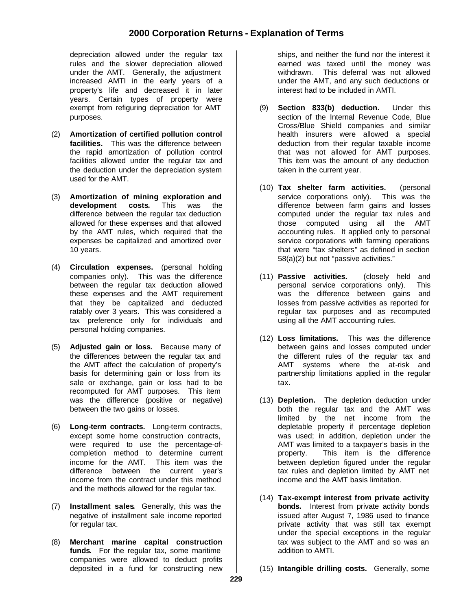depreciation allowed under the regular tax rules and the slower depreciation allowed under the AMT. Generally, the adjustment increased AMTI in the early years of a property's life and decreased it in later years. Certain types of property were exempt from refiguring depreciation for AMT purposes.

- (2) **Amortization of certified pollution control facilities.** This was the difference between the rapid amortization of pollution control facilities allowed under the regular tax and the deduction under the depreciation system used for the AMT.
- (3) **Amortization of mining exploration and development costs.** This was the difference between the regular tax deduction allowed for these expenses and that allowed by the AMT rules, which required that the expenses be capitalized and amortized over 10 years.
- (4) **Circulation expenses.** (personal holding companies only). This was the difference between the regular tax deduction allowed these expenses and the AMT requirement that they be capitalized and deducted ratably over 3 years. This was considered a tax preference only for individuals and personal holding companies.
- (5) **Adjusted gain or loss.** Because many of the differences between the regular tax and the AMT affect the calculation of property's basis for determining gain or loss from its sale or exchange, gain or loss had to be recomputed for AMT purposes. This item was the difference (positive or negative) between the two gains or losses.
- (6) **Long-term contracts.** Long-term contracts, except some home construction contracts, were required to use the percentage-ofcompletion method to determine current income for the AMT. This item was the difference between the current year's income from the contract under this method and the methods allowed for the regular tax.
- (7) **Installment sales.** Generally, this was the negative of installment sale income reported for regular tax.
- (8) **Merchant marine capital construction funds.** For the regular tax, some maritime companies were allowed to deduct profits deposited in a fund for constructing new

ships, and neither the fund nor the interest it earned was taxed until the money was withdrawn. This deferral was not allowed under the AMT, and any such deductions or interest had to be included in AMTI.

- (9) **Section 833(b) deduction.** Under this section of the Internal Revenue Code, Blue Cross/Blue Shield companies and similar health insurers were allowed a special deduction from their regular taxable income that was not allowed for AMT purposes. This item was the amount of any deduction taken in the current year.
- (10) **Tax shelter farm activities.** (personal service corporations only). This was the difference between farm gains and losses computed under the regular tax rules and those computed using all the AMT accounting rules. It applied only to personal service corporations with farming operations that were "tax shelters" as defined in section 58(a)(2) but not "passive activities."
- (11) **Passive activities.** (closely held and personal service corporations only). This was the difference between gains and losses from passive activities as reported for regular tax purposes and as recomputed using all the AMT accounting rules.
- (12) **Loss limitations.** This was the difference between gains and losses computed under the different rules of the regular tax and AMT systems where the at-risk and partnership limitations applied in the regular tax.
- (13) **Depletion.** The depletion deduction under both the regular tax and the AMT was limited by the net income from the depletable property if percentage depletion was used; in addition, depletion under the AMT was limited to a taxpayer's basis in the property. This item is the difference between depletion figured under the regular tax rules and depletion limited by AMT net income and the AMT basis limitation.
- (14) **Tax-exempt interest from private activity bonds.** Interest from private activity bonds issued after August 7, 1986 used to finance private activity that was still tax exempt under the special exceptions in the regular tax was subject to the AMT and so was an addition to AMTI.
- (15) **Intangible drilling costs.** Generally, some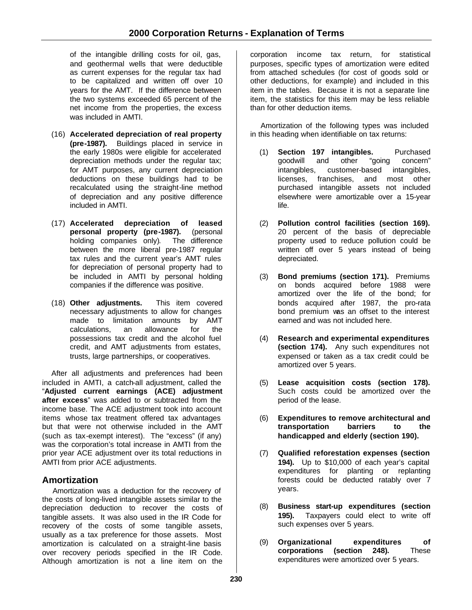of the intangible drilling costs for oil, gas, and geothermal wells that were deductible as current expenses for the regular tax had to be capitalized and written off over 10 years for the AMT. If the difference between the two systems exceeded 65 percent of the net income from the properties, the excess was included in AMTI.

- (16) **Accelerated depreciation of real property (pre-1987).** Buildings placed in service in the early 1980s were eligible for accelerated depreciation methods under the regular tax; for AMT purposes, any current depreciation deductions on these buildings had to be recalculated using the straight-line method of depreciation and any positive difference included in AMTI.
- (17) **Accelerated depreciation of leased personal property (pre-1987).** (personal holding companies only). The difference between the more liberal pre-1987 regular tax rules and the current year's AMT rules for depreciation of personal property had to be included in AMTI by personal holding companies if the difference was positive.
- (18) **Other adjustments.** This item covered necessary adjustments to allow for changes made to limitation amounts by AMT calculations, an allowance for the possessions tax credit and the alcohol fuel credit, and AMT adjustments from estates, trusts, large partnerships, or cooperatives.

After all adjustments and preferences had been included in AMTI, a catch-all adjustment, called the "**Adjusted current earnings (ACE) adjustment after excess**" was added to or subtracted from the income base. The ACE adjustment took into account items whose tax treatment offered tax advantages but that were not otherwise included in the AMT (such as tax-exempt interest). The "excess" (if any) was the corporation's total increase in AMTI from the prior year ACE adjustment over its total reductions in AMTI from prior ACE adjustments.

# **Amortization**

Amortization was a deduction for the recovery of the costs of long-lived intangible assets similar to the depreciation deduction to recover the costs of tangible assets. It was also used in the IR Code for recovery of the costs of some tangible assets, usually as a tax preference for those assets. Most amortization is calculated on a straight-line basis over recovery periods specified in the IR Code. Although amortization is not a line item on the

corporation income tax return, for statistical purposes, specific types of amortization were edited from attached schedules (for cost of goods sold or other deductions, for example) and included in this item in the tables. Because it is not a separate line item, the statistics for this item may be less reliable than for other deduction items.

Amortization of the following types was included in this heading when identifiable on tax returns:

- (1) **Section 197 intangibles.** Purchased goodwill and other "going concern" intangibles, customer-based intangibles, licenses, franchises, and most other purchased intangible assets not included elsewhere were amortizable over a 15-year life.
- (2) **Pollution control facilities (section 169).** 20 percent of the basis of depreciable property used to reduce pollution could be written off over 5 years instead of being depreciated.
- (3) **Bond premiums (section 171).** Premiums on bonds acquired before 1988 were amortized over the life of the bond; for bonds acquired after 1987, the pro-rata bond premium was an offset to the interest earned and was not included here.
- (4) **Research and experimental expenditures (section 174).** Any such expenditures not expensed or taken as a tax credit could be amortized over 5 years.
- (5) **Lease acquisition costs (section 178).** Such costs could be amortized over the period of the lease.
- (6) **Expenditures to remove architectural and transportation barriers to the handicapped and elderly (section 190).**
- (7) **Qualified reforestation expenses (section 194).** Up to \$10,000 of each year's capital expenditures for planting or replanting forests could be deducted ratably over 7 years.
- (8) **Business start-up expenditures (section 195).** Taxpayers could elect to write off such expenses over 5 years.
- (9) **Organizational expenditures of corporations (section 248).** These expenditures were amortized over 5 years.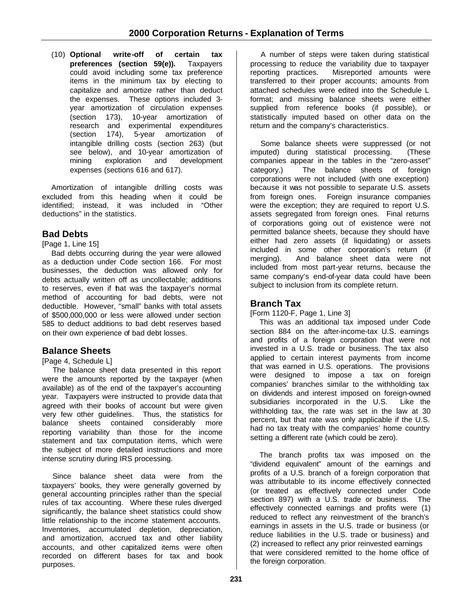(10) **Optional write-off of certain tax preferences (section 59(e)).** Taxpayers could avoid including some tax preference items in the minimum tax by electing to capitalize and amortize rather than deduct the expenses. These options included 3 year amortization of circulation expenses (section 173), 10-year amortization of research and experimental expenditures (section 174), 5-year amortization of intangible drilling costs (section 263) (but see below), and 10-year amortization of mining exploration and development expenses (sections 616 and 617).

Amortization of intangible drilling costs was excluded from this heading when it could be identified; instead, it was included in "Other deductions" in the statistics.

# **Bad Debts**

[Page 1, Line 15]

Bad debts occurring during the year were allowed as a deduction under Code section 166. For most businesses, the deduction was allowed only for debts actually written off as uncollectable; additions to reserves, even if hat was the taxpayer's normal method of accounting for bad debts, were not deductible. However, "small" banks with total assets of \$500,000,000 or less were allowed under section 585 to deduct additions to bad debt reserves based on their own experience of bad debt losses.

# **Balance Sheets**

[Page 4, Schedule L]

The balance sheet data presented in this report were the amounts reported by the taxpayer (when available) as of the end of the taxpayer's accounting year. Taxpayers were instructed to provide data that agreed with their books of account but were given very few other guidelines. Thus, the statistics for balance sheets contained considerably more reporting variability than those for the income statement and tax computation items, which were the subject of more detailed instructions and more intense scrutiny during IRS processing.

Since balance sheet data were from the taxpayers' books, they were generally governed by general accounting principles rather than the special rules of tax accounting. Where these rules diverged significantly, the balance sheet statistics could show little relationship to the income statement accounts. Inventories, accumulated depletion, depreciation, and amortization, accrued tax and other liability accounts, and other capitalized items were often recorded on different bases for tax and book purposes.

A number of steps were taken during statistical processing to reduce the variability due to taxpayer reporting practices. Misreported amounts were transferred to their proper accounts; amounts from attached schedules were edited into the Schedule L format; and missing balance sheets were either supplied from reference books (if possible), or statistically imputed based on other data on the return and the company's characteristics.

Some balance sheets were suppressed (or not imputed) during statistical processing. (These companies appear in the tables in the "zero-asset" category.) The balance sheets of foreign corporations were not included (with one exception) because it was not possible to separate U.S. assets from foreign ones. Foreign insurance companies were the exception; they are required to report U.S. assets segregated from foreign ones. Final returns of corporations going out of existence were not permitted balance sheets, because they should have either had zero assets (if liquidating) or assets included in some other corporation's return (if merging). And balance sheet data were not included from most part-year returns, because the same company's end-of-year data could have been subject to inclusion from its complete return.

# **Branch Tax**

[Form 1120-F, Page 1, Line 3]

This was an additional tax imposed under Code section 884 on the after-income-tax U.S. earnings and profits of a foreign corporation that were not invested in a U.S. trade or business. The tax also applied to certain interest payments from income that was earned in U.S. operations. The provisions were designed to impose a tax on foreign companies' branches similar to the withholding tax on dividends and interest imposed on foreign-owned subsidiaries incorporated in the U.S. Like the withholding tax, the rate was set in the law at 30 percent, but that rate was only applicable if the U.S. had no tax treaty with the companies' home country setting a different rate (which could be zero).

The branch profits tax was imposed on the "dividend equivalent" amount of the earnings and profits of a U.S. branch of a foreign corporation that was attributable to its income effectively connected (or treated as effectively connected under Code section 897) with a U.S. trade or business. The effectively connected earnings and profits were (1) reduced to reflect any reinvestment of the branch's earnings in assets in the U.S. trade or business (or reduce liabilities in the U.S. trade or business) and (2) increased to reflect any prior reinvested earnings that were considered remitted to the home office of the foreign corporation.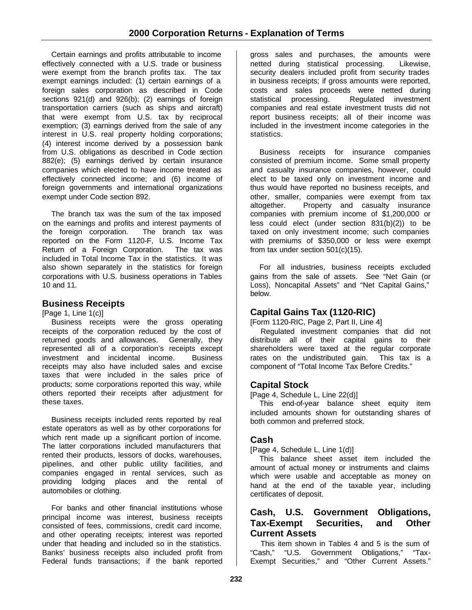Certain earnings and profits attributable to income effectively connected with a U.S. trade or business were exempt from the branch profits tax. The tax exempt earnings included: (1) certain earnings of a foreign sales corporation as described in Code sections 921(d) and 926(b); (2) earnings of foreign transportation carriers (such as ships and aircraft) that were exempt from U.S. tax by reciprocal exemption; (3) earnings derived from the sale of any interest in U.S. real property holding corporations; (4) interest income derived by a possession bank from U.S. obligations as described in Code section 882(e); (5) earnings derived by certain insurance companies which elected to have income treated as effectively connected income; and (6) income of foreign governments and international organizations exempt under Code section 892.

The branch tax was the sum of the tax imposed on the earnings and profits and interest payments of the foreign corporation. The branch tax was reported on the Form 1120-F, U.S. Income Tax Return of a Foreign Corporation. The tax was included in Total Income Tax in the statistics. It was also shown separately in the statistics for foreign corporations with U.S. business operations in Tables 10 and 11.

# **Business Receipts**

[Page 1, Line 1(c)]

Business receipts were the gross operating receipts of the corporation reduced by the cost of returned goods and allowances. Generally, they represented all of a corporation's receipts except investment and incidental income. Business receipts may also have included sales and excise taxes that were included in the sales price of products; some corporations reported this way, while others reported their receipts after adjustment for these taxes.

Business receipts included rents reported by real estate operators as well as by other corporations for which rent made up a significant portion of income. The latter corporations included manufacturers that rented their products, lessors of docks, warehouses, pipelines, and other public utility facilities, and companies engaged in rental services, such as providing lodging places and the rental of automobiles or clothing.

For banks and other financial institutions whose principal income was interest, business receipts consisted of fees, commissions, credit card income, and other operating receipts; interest was reported under that heading and included so in the statistics. Banks' business receipts also included profit from Federal funds transactions; if the bank reported

gross sales and purchases, the amounts were netted during statistical processing. Likewise, security dealers included profit from security trades in business receipts; if gross amounts were reported, costs and sales proceeds were netted during statistical processing. Regulated investment companies and real estate investment trusts did not report business receipts; all of their income was included in the investment income categories in the statistics.

Business receipts for insurance companies consisted of premium income. Some small property and casualty insurance companies, however, could elect to be taxed only on investment income and thus would have reported no business receipts, and other, smaller, companies were exempt from tax altogether. Property and casualty insurance companies with premium income of \$1,200,000 or less could elect (under section 831(b)(2)) to be taxed on only investment income; such companies with premiums of \$350,000 or less were exempt from tax under section 501(c)(15).

For all industries, business receipts excluded gains from the sale of assets. See "Net Gain (or Loss), Noncapital Assets" and "Net Capital Gains," below.

# **Capital Gains Tax (1120-RIC)**

[Form 1120-RIC, Page 2, Part II, Line 4]

Regulated investment companies that did not distribute all of their capital gains to their shareholders were taxed at the regular corporate rates on the undistributed gain. This tax is a component of "Total Income Tax Before Credits."

# **Capital Stock**

[Page 4, Schedule L, Line 22(d)]

This end-of-year balance sheet equity item included amounts shown for outstanding shares of both common and preferred stock.

# **Cash**

[Page 4, Schedule L, Line 1(d)]

This balance sheet asset item included the amount of actual money or instruments and claims which were usable and acceptable as money on hand at the end of the taxable year, including certificates of deposit.

# **Cash, U.S. Government Obligations, Tax-Exempt Securities, and Other Current Assets**

This item shown in Tables 4 and 5 is the sum of "Cash," "U.S. Government Obligations," "Tax-Exempt Securities," and "Other Current Assets."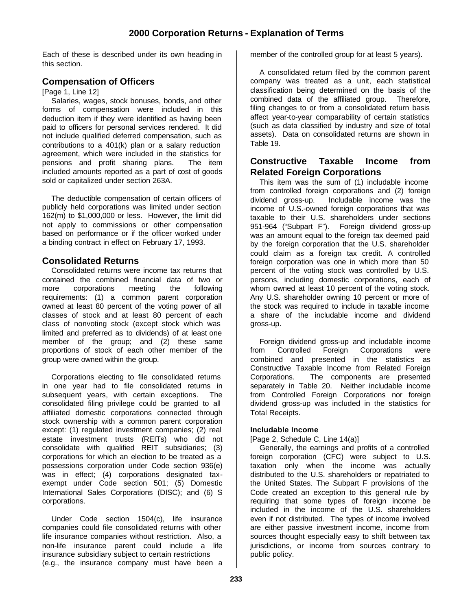Each of these is described under its own heading in this section.

# **Compensation of Officers**

[Page 1, Line 12]

Salaries, wages, stock bonuses, bonds, and other forms of compensation were included in this deduction item if they were identified as having been paid to officers for personal services rendered. It did not include qualified deferred compensation, such as contributions to a 401(k) plan or a salary reduction agreement, which were included in the statistics for pensions and profit sharing plans. The item included amounts reported as a part of cost of goods sold or capitalized under section 263A.

The deductible compensation of certain officers of publicly held corporations was limited under section 162(m) to \$1,000,000 or less. However, the limit did not apply to commissions or other compensation based on performance or if the officer worked under a binding contract in effect on February 17, 1993.

# **Consolidated Returns**

Consolidated returns were income tax returns that contained the combined financial data of two or more corporations meeting the following requirements: (1) a common parent corporation owned at least 80 percent of the voting power of all classes of stock and at least 80 percent of each class of nonvoting stock (except stock which was limited and preferred as to dividends) of at least one member of the group; and (2) these same proportions of stock of each other member of the group were owned within the group.

Corporations electing to file consolidated returns in one year had to file consolidated returns in subsequent years, with certain exceptions. The consolidated filing privilege could be granted to all affiliated domestic corporations connected through stock ownership with a common parent corporation except: (1) regulated investment companies; (2) real estate investment trusts (REITs) who did not consolidate with qualified REIT subsidiaries; (3) corporations for which an election to be treated as a possessions corporation under Code section 936(e) was in effect; (4) corporations designated taxexempt under Code section 501; (5) Domestic International Sales Corporations (DISC); and (6) S corporations.

Under Code section 1504(c), life insurance companies could file consolidated returns with other life insurance companies without restriction. Also, a non-life insurance parent could include a life insurance subsidiary subject to certain restrictions (e.g., the insurance company must have been a

member of the controlled group for at least 5 years).

A consolidated return filed by the common parent company was treated as a unit, each statistical classification being determined on the basis of the combined data of the affiliated group. Therefore, filing changes to or from a consolidated return basis affect year-to-year comparability of certain statistics (such as data classified by industry and size of total assets). Data on consolidated returns are shown in Table 19.

# **Constructive Taxable Income from Related Foreign Corporations**

This item was the sum of (1) includable income from controlled foreign corporations and (2) foreign dividend gross-up. Includable income was the income of U.S.-owned foreign corporations that was taxable to their U.S. shareholders under sections 951-964 ("Subpart F"). Foreign dividend gross-up was an amount equal to the foreign tax deemed paid by the foreign corporation that the U.S. shareholder could claim as a foreign tax credit. A controlled foreign corporation was one in which more than 50 percent of the voting stock was controlled by U.S. persons, including domestic corporations, each of whom owned at least 10 percent of the voting stock. Any U.S. shareholder owning 10 percent or more of the stock was required to include in taxable income a share of the includable income and dividend gross-up.

Foreign dividend gross-up and includable income from Controlled Foreign Corporations were combined and presented in the statistics as Constructive Taxable Income from Related Foreign Corporations. The components are presented separately in Table 20. Neither includable income from Controlled Foreign Corporations nor foreign dividend gross-up was included in the statistics for Total Receipts.

#### **Includable Income**

[Page 2, Schedule C, Line 14(a)]

Generally, the earnings and profits of a controlled foreign corporation (CFC) were subject to U.S. taxation only when the income was actually distributed to the U.S. shareholders or repatriated to the United States. The Subpart F provisions of the Code created an exception to this general rule by requiring that some types of foreign income be included in the income of the U.S. shareholders even if not distributed. The types of income involved are either passive investment income, income from sources thought especially easy to shift between tax jurisdictions, or income from sources contrary to public policy.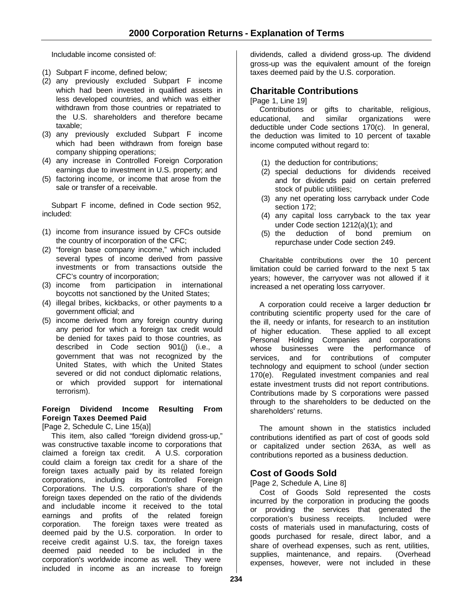Includable income consisted of:

- (1) Subpart F income, defined below;
- (2) any previously excluded Subpart F income which had been invested in qualified assets in less developed countries, and which was either withdrawn from those countries or repatriated to the U.S. shareholders and therefore became taxable;
- (3) any previously excluded Subpart F income which had been withdrawn from foreign base company shipping operations;
- (4) any increase in Controlled Foreign Corporation earnings due to investment in U.S. property; and
- (5) factoring income, or income that arose from the sale or transfer of a receivable.

Subpart F income, defined in Code section 952, included:

- (1) income from insurance issued by CFCs outside the country of incorporation of the CFC;
- (2) "foreign base company income," which included several types of income derived from passive investments or from transactions outside the CFC's country of incorporation;
- (3) income from participation in international boycotts not sanctioned by the United States;
- (4) illegal bribes, kickbacks, or other payments to a government official; and
- (5) income derived from any foreign country during any period for which a foreign tax credit would be denied for taxes paid to those countries, as described in Code section 901(j) (i.e., a government that was not recognized by the United States, with which the United States severed or did not conduct diplomatic relations, or which provided support for international terrorism).

#### **Foreign Dividend Income Resulting From Foreign Taxes Deemed Paid**

[Page 2, Schedule C, Line 15(a)]

This item, also called "foreign dividend gross-up," was constructive taxable income to corporations that claimed a foreign tax credit. A U.S. corporation could claim a foreign tax credit for a share of the foreign taxes actually paid by its related foreign corporations, including its Controlled Foreign Corporations. The U.S. corporation's share of the foreign taxes depended on the ratio of the dividends and includable income it received to the total earnings and profits of the related foreign corporation. The foreign taxes were treated as deemed paid by the U.S. corporation. In order to receive credit against U.S. tax, the foreign taxes deemed paid needed to be included in the corporation's worldwide income as well. They were included in income as an increase to foreign dividends, called a dividend gross-up. The dividend gross-up was the equivalent amount of the foreign taxes deemed paid by the U.S. corporation.

# **Charitable Contributions**

[Page 1, Line 19]

Contributions or gifts to charitable, religious, educational, and similar organizations were deductible under Code sections 170(c). In general, the deduction was limited to 10 percent of taxable income computed without regard to:

- (1) the deduction for contributions;
- (2) special deductions for dividends received and for dividends paid on certain preferred stock of public utilities;
- (3) any net operating loss carryback under Code section 172;
- (4) any capital loss carryback to the tax year under Code section 1212(a)(1); and
- (5) the deduction of bond premium on repurchase under Code section 249.

Charitable contributions over the 10 percent limitation could be carried forward to the next 5 tax years; however, the carryover was not allowed if it increased a net operating loss carryover.

A corporation could receive a larger deduction for contributing scientific property used for the care of the ill, needy or infants, for research to an institution of higher education. These applied to all except Personal Holding Companies and corporations whose businesses were the performance of services, and for contributions of computer technology and equipment to school (under section 170(e). Regulated investment companies and real estate investment trusts did not report contributions. Contributions made by S corporations were passed through to the shareholders to be deducted on the shareholders' returns.

The amount shown in the statistics included contributions identified as part of cost of goods sold or capitalized under section 263A, as well as contributions reported as a business deduction.

# **Cost of Goods Sold**

[Page 2, Schedule A, Line 8]

Cost of Goods Sold represented the costs incurred by the corporation in producing the goods or providing the services that generated the corporation's business receipts. Included were costs of materials used in manufacturing, costs of goods purchased for resale, direct labor, and a share of overhead expenses, such as rent, utilities, supplies, maintenance, and repairs. (Overhead expenses, however, were not included in these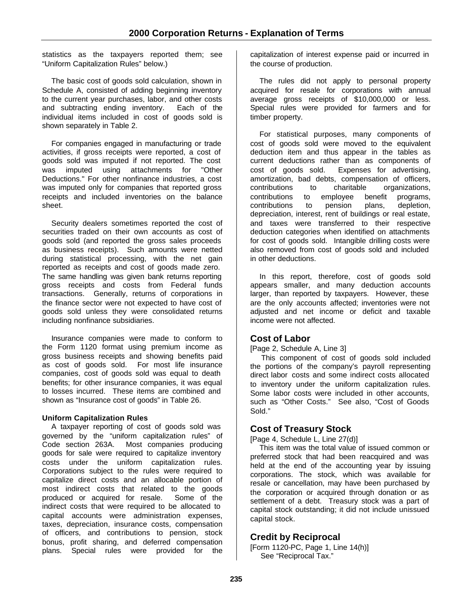statistics as the taxpayers reported them; see "Uniform Capitalization Rules" below.)

The basic cost of goods sold calculation, shown in Schedule A, consisted of adding beginning inventory to the current year purchases, labor, and other costs and subtracting ending inventory. Each of the individual items included in cost of goods sold is shown separately in Table 2.

For companies engaged in manufacturing or trade activities, if gross receipts were reported, a cost of goods sold was imputed if not reported. The cost was imputed using attachments for "Other Deductions." For other nonfinance industries, a cost was imputed only for companies that reported gross receipts and included inventories on the balance sheet.

Security dealers sometimes reported the cost of securities traded on their own accounts as cost of goods sold (and reported the gross sales proceeds as business receipts). Such amounts were netted during statistical processing, with the net gain reported as receipts and cost of goods made zero. The same handling was given bank returns reporting gross receipts and costs from Federal funds transactions. Generally, returns of corporations in the finance sector were not expected to have cost of goods sold unless they were consolidated returns including nonfinance subsidiaries.

Insurance companies were made to conform to the Form 1120 format using premium income as gross business receipts and showing benefits paid as cost of goods sold. For most life insurance companies, cost of goods sold was equal to death benefits; for other insurance companies, it was equal to losses incurred. These items are combined and shown as "Insurance cost of goods" in Table 26.

#### **Uniform Capitalization Rules**

A taxpayer reporting of cost of goods sold was governed by the "uniform capitalization rules" of Code section 263A. Most companies producing goods for sale were required to capitalize inventory costs under the uniform capitalization rules. Corporations subject to the rules were required to capitalize direct costs and an allocable portion of most indirect costs that related to the goods produced or acquired for resale. Some of the indirect costs that were required to be allocated to capital accounts were administration expenses, taxes, depreciation, insurance costs, compensation of officers, and contributions to pension, stock bonus, profit sharing, and deferred compensation plans. Special rules were provided for the

capitalization of interest expense paid or incurred in the course of production.

The rules did not apply to personal property acquired for resale for corporations with annual average gross receipts of \$10,000,000 or less. Special rules were provided for farmers and for timber property.

For statistical purposes, many components of cost of goods sold were moved to the equivalent deduction item and thus appear in the tables as current deductions rather than as components of cost of goods sold. Expenses for advertising, amortization, bad debts, compensation of officers, contributions to charitable organizations, contributions to employee benefit programs, contributions to pension plans, depletion, depreciation, interest, rent of buildings or real estate, and taxes were transferred to their respective deduction categories when identified on attachments for cost of goods sold. Intangible drilling costs were also removed from cost of goods sold and included in other deductions.

In this report, therefore, cost of goods sold appears smaller, and many deduction accounts larger, than reported by taxpayers. However, these are the only accounts affected; inventories were not adjusted and net income or deficit and taxable income were not affected.

# **Cost of Labor**

[Page 2, Schedule A, Line 3]

This component of cost of goods sold included the portions of the company's payroll representing direct labor costs and some indirect costs allocated to inventory under the uniform capitalization rules. Some labor costs were included in other accounts, such as "Other Costs." See also, "Cost of Goods Sold."

# **Cost of Treasury Stock**

[Page 4, Schedule L, Line 27(d)]

This item was the total value of issued common or preferred stock that had been reacquired and was held at the end of the accounting year by issuing corporations. The stock, which was available for resale or cancellation, may have been purchased by the corporation or acquired through donation or as settlement of a debt. Treasury stock was a part of capital stock outstanding; it did not include unissued capital stock.

# **Credit by Reciprocal**

[Form 1120-PC, Page 1, Line 14(h)] See "Reciprocal Tax."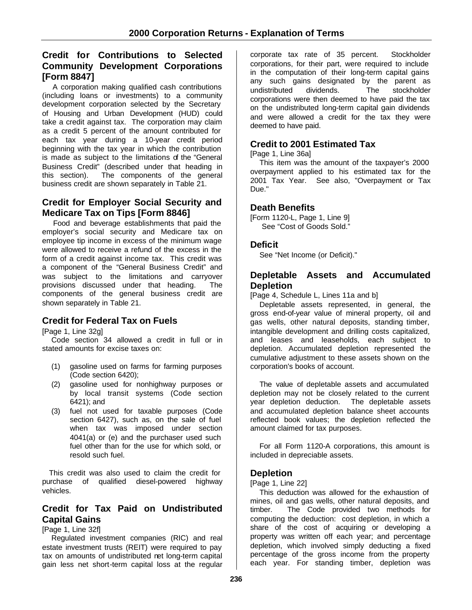# **Credit for Contributions to Selected Community Development Corporations [Form 8847]**

A corporation making qualified cash contributions (including loans or investments) to a community development corporation selected by the Secretary of Housing and Urban Development (HUD) could take a credit against tax. The corporation may claim as a credit 5 percent of the amount contributed for each tax year during a 10-year credit period beginning with the tax year in which the contribution is made as subject to the limitations of the "General Business Credit" (described under that heading in this section). The components of the general business credit are shown separately in Table 21.

# **Credit for Employer Social Security and Medicare Tax on Tips [Form 8846]**

Food and beverage establishments that paid the employer's social security and Medicare tax on employee tip income in excess of the minimum wage were allowed to receive a refund of the excess in the form of a credit against income tax. This credit was a component of the "General Business Credit" and was subject to the limitations and carryover provisions discussed under that heading. The components of the general business credit are shown separately in Table 21.

# **Credit for Federal Tax on Fuels**

[Page 1, Line 32g]

Code section 34 allowed a credit in full or in stated amounts for excise taxes on:

- (1) gasoline used on farms for farming purposes (Code section 6420);
- (2) gasoline used for nonhighway purposes or by local transit systems (Code section 6421); and
- (3) fuel not used for taxable purposes (Code section 6427), such as, on the sale of fuel when tax was imposed under section 4041(a) or (e) and the purchaser used such fuel other than for the use for which sold, or resold such fuel.

This credit was also used to claim the credit for purchase of qualified diesel-powered highway vehicles.

# **Credit for Tax Paid on Undistributed Capital Gains**

#### [Page 1, Line 32f]

Regulated investment companies (RIC) and real estate investment trusts (REIT) were required to pay tax on amounts of undistributed net long-term capital gain less net short-term capital loss at the regular corporate tax rate of 35 percent. Stockholder corporations, for their part, were required to include in the computation of their long-term capital gains any such gains designated by the parent as undistributed dividends. The stockholder corporations were then deemed to have paid the tax on the undistributed long-term capital gain dividends and were allowed a credit for the tax they were deemed to have paid.

# **Credit to 2001 Estimated Tax**

#### [Page 1, Line 36a]

This item was the amount of the taxpayer's 2000 overpayment applied to his estimated tax for the 2001 Tax Year. See also, "Overpayment or Tax Due."

### **Death Benefits**

[Form 1120-L, Page 1, Line 9] See "Cost of Goods Sold."

# **Deficit**

See "Net Income (or Deficit)."

# **Depletable Assets and Accumulated Depletion**

[Page 4, Schedule L, Lines 11a and b]

Depletable assets represented, in general, the gross end-of-year value of mineral property, oil and gas wells, other natural deposits, standing timber, intangible development and drilling costs capitalized, and leases and leaseholds, each subject to depletion. Accumulated depletion represented the cumulative adjustment to these assets shown on the corporation's books of account.

The value of depletable assets and accumulated depletion may not be closely related to the current year depletion deduction. The depletable assets and accumulated depletion balance sheet accounts reflected book values; the depletion reflected the amount claimed for tax purposes.

For all Form 1120-A corporations, this amount is included in depreciable assets.

# **Depletion**

#### [Page 1, Line 22]

This deduction was allowed for the exhaustion of mines, oil and gas wells, other natural deposits, and timber. The Code provided two methods for computing the deduction: cost depletion, in which a share of the cost of acquiring or developing a property was written off each year; and percentage depletion, which involved simply deducting a fixed percentage of the gross income from the property each year. For standing timber, depletion was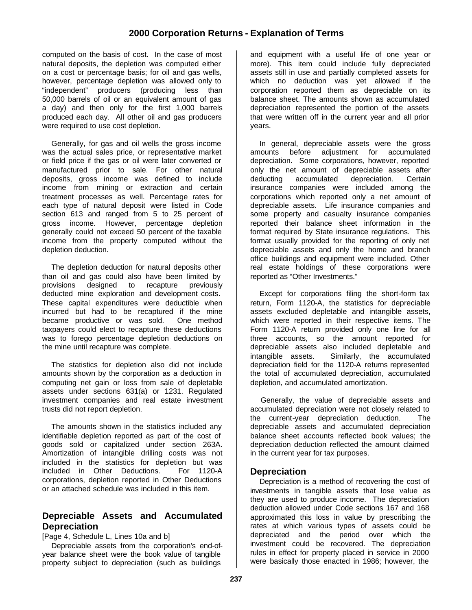computed on the basis of cost. In the case of most natural deposits, the depletion was computed either on a cost or percentage basis; for oil and gas wells, however, percentage depletion was allowed only to "independent" producers (producing less than 50,000 barrels of oil or an equivalent amount of gas a day) and then only for the first 1,000 barrels produced each day. All other oil and gas producers were required to use cost depletion.

Generally, for gas and oil wells the gross income was the actual sales price, or representative market or field price if the gas or oil were later converted or manufactured prior to sale. For other natural deposits, gross income was defined to include income from mining or extraction and certain treatment processes as well. Percentage rates for each type of natural deposit were listed in Code section 613 and ranged from 5 to 25 percent of gross income. However, percentage depletion generally could not exceed 50 percent of the taxable income from the property computed without the depletion deduction.

The depletion deduction for natural deposits other than oil and gas could also have been limited by provisions designed to recapture previously deducted mine exploration and development costs. These capital expenditures were deductible when incurred but had to be recaptured if the mine became productive or was sold. One method taxpayers could elect to recapture these deductions was to forego percentage depletion deductions on the mine until recapture was complete.

The statistics for depletion also did not include amounts shown by the corporation as a deduction in computing net gain or loss from sale of depletable assets under sections 631(a) or 1231. Regulated investment companies and real estate investment trusts did not report depletion.

The amounts shown in the statistics included any identifiable depletion reported as part of the cost of goods sold or capitalized under section 263A. Amortization of intangible drilling costs was not included in the statistics for depletion but was<br>included in Other Deductions. For 1120-A included in Other Deductions. corporations, depletion reported in Other Deductions or an attached schedule was included in this item.

# **Depreciable Assets and Accumulated Depreciation**

[Page 4, Schedule L, Lines 10a and b]

Depreciable assets from the corporation's end-ofyear balance sheet were the book value of tangible property subject to depreciation (such as buildings

and equipment with a useful life of one year or more). This item could include fully depreciated assets still in use and partially completed assets for which no deduction was yet allowed if the corporation reported them as depreciable on its balance sheet. The amounts shown as accumulated depreciation represented the portion of the assets that were written off in the current year and all prior years.

In general, depreciable assets were the gross amounts before adjustment for accumulated depreciation. Some corporations, however, reported only the net amount of depreciable assets after deducting accumulated depreciation. Certain insurance companies were included among the corporations which reported only a net amount of depreciable assets. Life insurance companies and some property and casualty insurance companies reported their balance sheet information in the format required by State insurance regulations. This format usually provided for the reporting of only net depreciable assets and only the home and branch office buildings and equipment were included. Other real estate holdings of these corporations were reported as "Other Investments."

Except for corporations filing the short-form tax return, Form 1120-A, the statistics for depreciable assets excluded depletable and intangible assets, which were reported in their respective items. The Form 1120-A return provided only one line for all three accounts, so the amount reported for depreciable assets also included depletable and intangible assets. Similarly, the accumulated depreciation field for the 1120-A returns represented the total of accumulated depreciation, accumulated depletion, and accumulated amortization.

Generally, the value of depreciable assets and accumulated depreciation were not closely related to the current-year depreciation deduction. The depreciable assets and accumulated depreciation balance sheet accounts reflected book values; the depreciation deduction reflected the amount claimed in the current year for tax purposes.

### **Depreciation**

Depreciation is a method of recovering the cost of investments in tangible assets that lose value as they are used to produce income. The depreciation deduction allowed under Code sections 167 and 168 approximated this loss in value by prescribing the rates at which various types of assets could be depreciated and the period over which the investment could be recovered. The depreciation rules in effect for property placed in service in 2000 were basically those enacted in 1986; however, the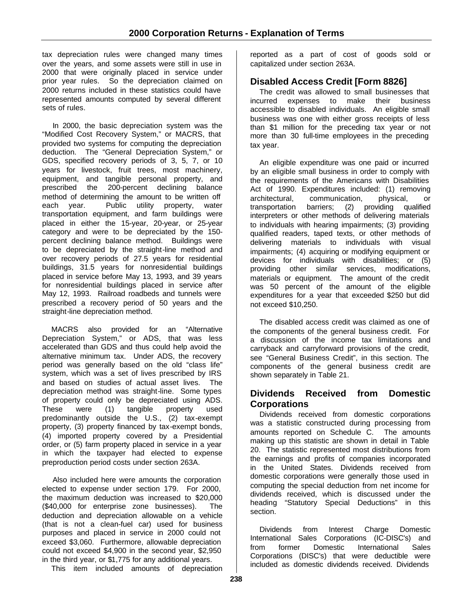tax depreciation rules were changed many times over the years, and some assets were still in use in 2000 that were originally placed in service under prior year rules. So the depreciation claimed on 2000 returns included in these statistics could have represented amounts computed by several different sets of rules.

In 2000, the basic depreciation system was the "Modified Cost Recovery System," or MACRS, that provided two systems for computing the depreciation deduction. The "General Depreciation System," or GDS, specified recovery periods of 3, 5, 7, or 10 years for livestock, fruit trees, most machinery, equipment, and tangible personal property, and prescribed the 200-percent declining balance method of determining the amount to be written off each year. Public utility property, water transportation equipment, and farm buildings were placed in either the 15-year, 20-year, or 25-year category and were to be depreciated by the 150 percent declining balance method. Buildings were to be depreciated by the straight-line method and over recovery periods of 27.5 years for residential buildings, 31.5 years for nonresidential buildings placed in service before May 13, 1993, and 39 years for nonresidential buildings placed in service after May 12, 1993. Railroad roadbeds and tunnels were prescribed a recovery period of 50 years and the straight-line depreciation method.

MACRS also provided for an "Alternative Depreciation System," or ADS, that was less accelerated than GDS and thus could help avoid the alternative minimum tax. Under ADS, the recovery period was generally based on the old "class life" system, which was a set of lives prescribed by IRS and based on studies of actual asset lives. The depreciation method was straight-line. Some types of property could only be depreciated using ADS. These were (1) tangible property used predominantly outside the U.S., (2) tax-exempt property, (3) property financed by tax-exempt bonds, (4) imported property covered by a Presidential order, or (5) farm property placed in service in a year in which the taxpayer had elected to expense preproduction period costs under section 263A.

Also included here were amounts the corporation elected to expense under section 179. For 2000, the maximum deduction was increased to \$20,000 (\$40,000 for enterprise zone businesses). The deduction and depreciation allowable on a vehicle (that is not a clean-fuel car) used for business purposes and placed in service in 2000 could not exceed \$3,060. Furthermore, allowable depreciation could not exceed \$4,900 in the second year, \$2,950 in the third year, or \$1,775 for any additional years.

This item included amounts of depreciation

reported as a part of cost of goods sold or capitalized under section 263A.

# **Disabled Access Credit [Form 8826]**

The credit was allowed to small businesses that incurred expenses to make their business accessible to disabled individuals. An eligible small business was one with either gross receipts of less than \$1 million for the preceding tax year or not more than 30 full-time employees in the preceding tax year.

An eligible expenditure was one paid or incurred by an eligible small business in order to comply with the requirements of the Americans with Disabilities Act of 1990. Expenditures included: (1) removing architectural, communication, physical, or transportation barriers; (2) providing qualified interpreters or other methods of delivering materials to individuals with hearing impairments; (3) providing qualified readers, taped texts, or other methods of delivering materials to individuals with visual impairments; (4) acquiring or modifying equipment or devices for individuals with disabilities; or (5) providing other similar services, modifications, materials or equipment. The amount of the credit was 50 percent of the amount of the eligible expenditures for a year that exceeded \$250 but did not exceed \$10,250.

The disabled access credit was claimed as one of the components of the general business credit. For a discussion of the income tax limitations and carryback and carryforward provisions of the credit, see "General Business Credit", in this section. The components of the general business credit are shown separately in Table 21.

# **Dividends Received from Domestic Corporations**

Dividends received from domestic corporations was a statistic constructed during processing from amounts reported on Schedule C. The amounts making up this statistic are shown in detail in Table 20. The statistic represented most distributions from the earnings and profits of companies incorporated in the United States. Dividends received from domestic corporations were generally those used in computing the special deduction from net income for dividends received, which is discussed under the heading "Statutory Special Deductions" in this section.

Dividends from Interest Charge Domestic International Sales Corporations (IC-DISC's) and from former Domestic International Sales Corporations (DISC's) that were deductible were included as domestic dividends received. Dividends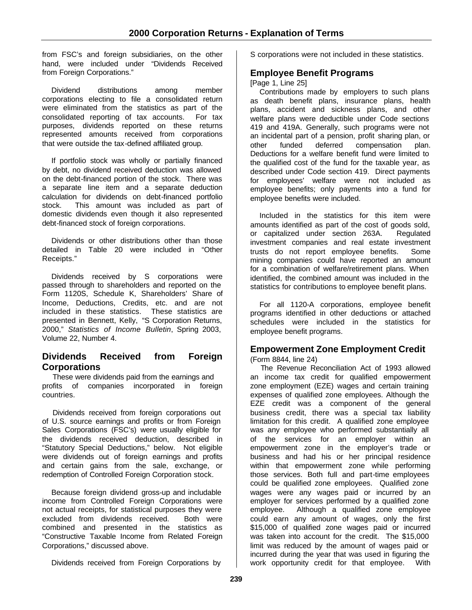from FSC's and foreign subsidiaries, on the other hand, were included under "Dividends Received from Foreign Corporations."

Dividend distributions among member corporations electing to file a consolidated return were eliminated from the statistics as part of the consolidated reporting of tax accounts. For tax purposes, dividends reported on these returns represented amounts received from corporations that were outside the tax-defined affiliated group.

If portfolio stock was wholly or partially financed by debt, no dividend received deduction was allowed on the debt-financed portion of the stock. There was a separate line item and a separate deduction calculation for dividends on debt-financed portfolio stock. This amount was included as part of domestic dividends even though it also represented debt-financed stock of foreign corporations.

Dividends or other distributions other than those detailed in Table 20 were included in "Other Receipts."

Dividends received by S corporations were passed through to shareholders and reported on the Form 1120S, Schedule K, Shareholders' Share of Income, Deductions, Credits, etc. and are not included in these statistics. These statistics are presented in Bennett, Kelly, "S Corporation Returns, 2000," *Statistics of Income Bulletin*, Spring 2003, Volume 22, Number 4.

# **Dividends Received from Foreign Corporations**

These were dividends paid from the earnings and profits of companies incorporated in foreign countries.

Dividends received from foreign corporations out of U.S. source earnings and profits or from Foreign Sales Corporations (FSC's) were usually eligible for the dividends received deduction, described in "Statutory Special Deductions," below. Not eligible were dividends out of foreign earnings and profits and certain gains from the sale, exchange, or redemption of Controlled Foreign Corporation stock.

Because foreign dividend gross-up and includable income from Controlled Foreign Corporations were not actual receipts, for statistical purposes they were excluded from dividends received. Both were combined and presented in the statistics as "Constructive Taxable Income from Related Foreign Corporations," discussed above.

Dividends received from Foreign Corporations by

S corporations were not included in these statistics.

# **Employee Benefit Programs**

[Page 1, Line 25]

Contributions made by employers to such plans as death benefit plans, insurance plans, health plans, accident and sickness plans, and other welfare plans were deductible under Code sections 419 and 419A. Generally, such programs were not an incidental part of a pension, profit sharing plan, or other funded deferred compensation plan. Deductions for a welfare benefit fund were limited to the qualified cost of the fund for the taxable year, as described under Code section 419. Direct payments for employees' welfare were not included as employee benefits; only payments into a fund for employee benefits were included.

Included in the statistics for this item were amounts identified as part of the cost of goods sold, or capitalized under section 263A. Regulated investment companies and real estate investment trusts do not report employee benefits. Some mining companies could have reported an amount for a combination of welfare/retirement plans. When identified, the combined amount was included in the statistics for contributions to employee benefit plans.

For all 1120-A corporations, employee benefit programs identified in other deductions or attached schedules were included in the statistics for employee benefit programs.

# **Empowerment Zone Employment Credit**

(Form 8844, line 24)

The Revenue Reconciliation Act of 1993 allowed an income tax credit for qualified empowerment zone employment (EZE) wages and certain training expenses of qualified zone employees. Although the EZE credit was a component of the general business credit, there was a special tax liability limitation for this credit. A qualified zone employee was any employee who performed substantially all of the services for an employer within an empowerment zone in the employer's trade or business and had his or her principal residence within that empowerment zone while performing those services. Both full and part-time employees could be qualified zone employees. Qualified zone wages were any wages paid or incurred by an employer for services performed by a qualified zone employee. Although a qualified zone employee could earn any amount of wages, only the first \$15,000 of qualified zone wages paid or incurred was taken into account for the credit. The \$15,000 limit was reduced by the amount of wages paid or incurred during the year that was used in figuring the work opportunity credit for that employee. With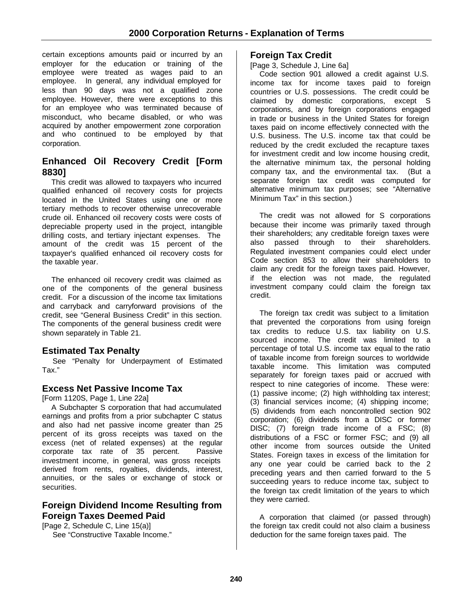certain exceptions amounts paid or incurred by an employer for the education or training of the employee were treated as wages paid to an employee. In general, any individual employed for less than 90 days was not a qualified zone employee. However, there were exceptions to this for an employee who was terminated because of misconduct, who became disabled, or who was acquired by another empowerment zone corporation and who continued to be employed by that corporation.

# **Enhanced Oil Recovery Credit [Form 8830]**

This credit was allowed to taxpayers who incurred qualified enhanced oil recovery costs for projects located in the United States using one or more tertiary methods to recover otherwise unrecoverable crude oil. Enhanced oil recovery costs were costs of depreciable property used in the project, intangible drilling costs, and tertiary injectant expenses. The amount of the credit was 15 percent of the taxpayer's qualified enhanced oil recovery costs for the taxable year.

The enhanced oil recovery credit was claimed as one of the components of the general business credit. For a discussion of the income tax limitations and carryback and carryforward provisions of the credit, see "General Business Credit" in this section. The components of the general business credit were shown separately in Table 21.

# **Estimated Tax Penalty**

See "Penalty for Underpayment of Estimated Tax."

# **Excess Net Passive Income Tax**

[Form 1120S, Page 1, Line 22a]

A Subchapter S corporation that had accumulated earnings and profits from a prior subchapter C status and also had net passive income greater than 25 percent of its gross receipts was taxed on the excess (net of related expenses) at the regular corporate tax rate of 35 percent. Passive investment income, in general, was gross receipts derived from rents, royalties, dividends, interest, annuities, or the sales or exchange of stock or securities.

# **Foreign Dividend Income Resulting from Foreign Taxes Deemed Paid**

[Page 2, Schedule C, Line 15(a)] See "Constructive Taxable Income."

# **Foreign Tax Credit**

[Page 3, Schedule J, Line 6a]

Code section 901 allowed a credit against U.S. income tax for income taxes paid to foreign countries or U.S. possessions. The credit could be claimed by domestic corporations, except S corporations, and by foreign corporations engaged in trade or business in the United States for foreign taxes paid on income effectively connected with the U.S. business. The U.S. income tax that could be reduced by the credit excluded the recapture taxes for investment credit and low income housing credit, the alternative minimum tax, the personal holding company tax, and the environmental tax. (But a separate foreign tax credit was computed for alternative minimum tax purposes; see "Alternative Minimum Tax" in this section.)

The credit was not allowed for S corporations because their income was primarily taxed through their shareholders; any creditable foreign taxes were also passed through to their shareholders. Regulated investment companies could elect under Code section 853 to allow their shareholders to claim any credit for the foreign taxes paid. However, if the election was not made, the regulated investment company could claim the foreign tax credit.

The foreign tax credit was subject to a limitation that prevented the corporations from using foreign tax credits to reduce U.S. tax liability on U.S. sourced income. The credit was limited to a percentage of total U.S. income tax equal to the ratio of taxable income from foreign sources to worldwide taxable income. This limitation was computed separately for foreign taxes paid or accrued with respect to nine categories of income. These were: (1) passive income; (2) high withholding tax interest; (3) financial services income; (4) shipping income; (5) dividends from each noncontrolled section 902 corporation; (6) dividends from a DISC or former DISC; (7) foreign trade income of a FSC; (8) distributions of a FSC or former FSC; and (9) all other income from sources outside the United States. Foreign taxes in excess of the limitation for any one year could be carried back to the 2 preceding years and then carried forward to the 5 succeeding years to reduce income tax, subject to the foreign tax credit limitation of the years to which they were carried.

A corporation that claimed (or passed through) the foreign tax credit could not also claim a business deduction for the same foreign taxes paid. The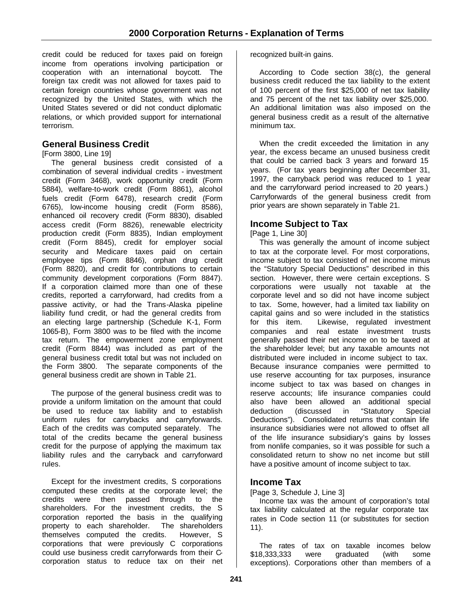credit could be reduced for taxes paid on foreign income from operations involving participation or cooperation with an international boycott. The foreign tax credit was not allowed for taxes paid to certain foreign countries whose government was not recognized by the United States, with which the United States severed or did not conduct diplomatic relations, or which provided support for international terrorism.

# **General Business Credit**

[Form 3800, Line 19]

The general business credit consisted of a combination of several individual credits - investment credit (Form 3468), work opportunity credit (Form 5884), welfare-to-work credit (Form 8861), alcohol fuels credit (Form 6478), research credit (Form 6765), low-income housing credit (Form 8586), enhanced oil recovery credit (Form 8830), disabled access credit (Form 8826), renewable electricity production credit (Form 8835), Indian employment credit (Form 8845), credit for employer social security and Medicare taxes paid on certain employee tips (Form 8846), orphan drug credit (Form 8820), and credit for contributions to certain community development corporations (Form 8847). If a corporation claimed more than one of these credits, reported a carryforward, had credits from a passive activity, or had the Trans-Alaska pipeline liability fund credit, or had the general credits from an electing large partnership (Schedule K-1, Form 1065-B), Form 3800 was to be filed with the income tax return. The empowerment zone employment credit (Form 8844) was included as part of the general business credit total but was not included on the Form 3800. The separate components of the general business credit are shown in Table 21.

The purpose of the general business credit was to provide a uniform limitation on the amount that could be used to reduce tax liability and to establish uniform rules for carrybacks and carryforwards. Each of the credits was computed separately. The total of the credits became the general business credit for the purpose of applying the maximum tax liability rules and the carryback and carryforward rules.

Except for the investment credits, S corporations computed these credits at the corporate level; the credits were then passed through to the shareholders. For the investment credits, the S corporation reported the basis in the qualifying property to each shareholder. The shareholders themselves computed the credits. However, S corporations that were previously C corporations could use business credit carryforwards from their Ccorporation status to reduce tax on their net recognized built-in gains.

According to Code section 38(c), the general business credit reduced the tax liability to the extent of 100 percent of the first \$25,000 of net tax liability and 75 percent of the net tax liability over \$25,000. An additional limitation was also imposed on the general business credit as a result of the alternative minimum tax.

When the credit exceeded the limitation in any year, the excess became an unused business credit that could be carried back 3 years and forward 15 years. (For tax years beginning after December 31, 1997, the carryback period was reduced to 1 year and the carryforward period increased to 20 years.) Carryforwards of the general business credit from prior years are shown separately in Table 21.

# **Income Subject to Tax**

[Page 1, Line 30]

This was generally the amount of income subject to tax at the corporate level. For most corporations, income subject to tax consisted of net income minus the "Statutory Special Deductions" described in this section. However, there were certain exceptions. S corporations were usually not taxable at the corporate level and so did not have income subject to tax. Some, however, had a limited tax liability on capital gains and so were included in the statistics for this item. Likewise, regulated investment companies and real estate investment trusts generally passed their net income on to be taxed at the shareholder level; but any taxable amounts not distributed were included in income subject to tax. Because insurance companies were permitted to use reserve accounting for tax purposes, insurance income subject to tax was based on changes in reserve accounts; life insurance companies could also have been allowed an additional special deduction (discussed in "Statutory Special Deductions"). Consolidated returns that contain life insurance subsidiaries were not allowed to offset all of the life insurance subsidiary's gains by losses from nonlife companies, so it was possible for such a consolidated return to show no net income but still have a positive amount of income subject to tax.

### **Income Tax**

[Page 3, Schedule J, Line 3]

Income tax was the amount of corporation's total tax liability calculated at the regular corporate tax rates in Code section 11 (or substitutes for section 11).

The rates of tax on taxable incomes below \$18,333,333 were graduated (with some exceptions). Corporations other than members of a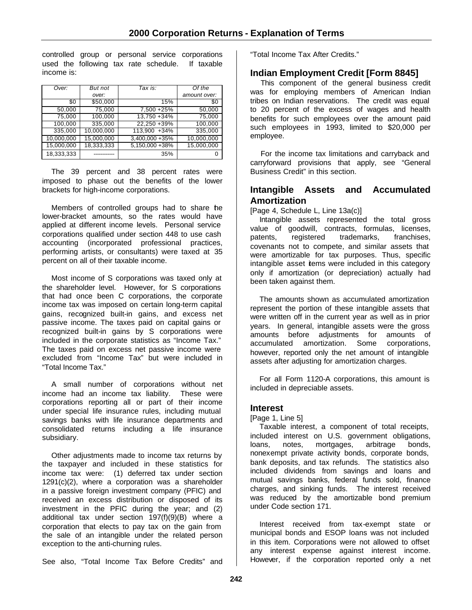controlled group or personal service corporations used the following tax rate schedule. If taxable income is:

| Over:      | But not    | Tax is:           | Of the       |
|------------|------------|-------------------|--------------|
|            | over:      |                   | amount over: |
| \$0        | \$50,000   | 15%               | \$0          |
| 50,000     | 75,000     | 7,500 +25%        | 50,000       |
| 75,000     | 100,000    | 13,750 +34%       | 75,000       |
| 100.000    | 335,000    | 22,250 +39%       | 100,000      |
| 335,000    | 10,000,000 | 113,900 +34%      | 335,000      |
| 10,000,000 | 15,000,000 | $3,400,000 + 35%$ | 10,000,000   |
| 15,000,000 | 18,333,333 | 5,150,000 +38%    | 15,000,000   |
| 18,333,333 |            | 35%               | O            |

The 39 percent and 38 percent rates were imposed to phase out the benefits of the lower brackets for high-income corporations.

Members of controlled groups had to share the lower-bracket amounts, so the rates would have applied at different income levels. Personal service corporations qualified under section 448 to use cash accounting (incorporated professional practices, performing artists, or consultants) were taxed at 35 percent on all of their taxable income.

Most income of S corporations was taxed only at the shareholder level. However, for S corporations that had once been C corporations, the corporate income tax was imposed on certain long-term capital gains, recognized built-in gains, and excess net passive income. The taxes paid on capital gains or recognized built-in gains by S corporations were included in the corporate statistics as "Income Tax." The taxes paid on excess net passive income were excluded from "Income Tax" but were included in "Total Income Tax."

A small number of corporations without net income had an income tax liability. These were corporations reporting all or part of their income under special life insurance rules, including mutual savings banks with life insurance departments and consolidated returns including a life insurance subsidiary.

Other adjustments made to income tax returns by the taxpayer and included in these statistics for income tax were: (1) deferred tax under section 1291(c)(2), where a corporation was a shareholder in a passive foreign investment company (PFIC) and received an excess distribution or disposed of its investment in the PFIC during the year; and (2) additional tax under section  $197(f)(9)(B)$  where a corporation that elects to pay tax on the gain from the sale of an intangible under the related person exception to the anti-churning rules.

See also, "Total Income Tax Before Credits" and

"Total Income Tax After Credits."

# **Indian Employment Credit [Form 8845]**

This component of the general business credit was for employing members of American Indian tribes on Indian reservations. The credit was equal to 20 percent of the excess of wages and health benefits for such employees over the amount paid such employees in 1993, limited to \$20,000 per employee.

For the income tax limitations and carryback and carryforward provisions that apply, see "General Business Credit" in this section.

# **Intangible Assets and Accumulated Amortization**

[Page 4, Schedule L, Line 13a(c)]

Intangible assets represented the total gross value of goodwill, contracts, formulas, licenses, patents, registered trademarks, franchises, covenants not to compete, and similar assets that were amortizable for tax purposes. Thus, specific intangible asset items were included in this category only if amortization (or depreciation) actually had been taken against them.

The amounts shown as accumulated amortization represent the portion of these intangible assets that were written off in the current year as well as in prior years. In general, intangible assets were the gross amounts before adjustments for amounts of accumulated amortization. Some corporations, however, reported only the net amount of intangible assets after adjusting for amortization charges.

For all Form 1120-A corporations, this amount is included in depreciable assets.

#### **Interest**

[Page 1, Line 5]

Taxable interest, a component of total receipts, included interest on U.S. government obligations, loans, notes, mortgages, arbitrage bonds, nonexempt private activity bonds, corporate bonds, bank deposits, and tax refunds. The statistics also included dividends from savings and loans and mutual savings banks, federal funds sold, finance charges, and sinking funds. The interest received was reduced by the amortizable bond premium under Code section 171.

Interest received from tax-exempt state or municipal bonds and ESOP loans was not included in this item. Corporations were not allowed to offset any interest expense against interest income. However, if the corporation reported only a net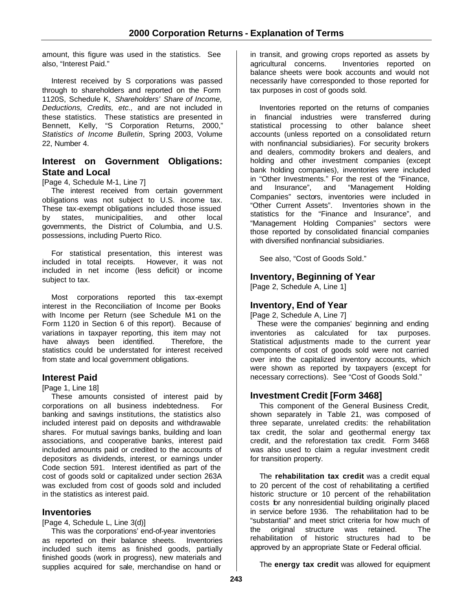amount, this figure was used in the statistics. See also, "Interest Paid."

Interest received by S corporations was passed through to shareholders and reported on the Form 1120S, Schedule K, *Shareholders' Share of Income, Deductions, Credits, etc.,* and are not included in these statistics. These statistics are presented in Bennett, Kelly, "S Corporation Returns, 2000," *Statistics of Income Bulletin*, Spring 2003, Volume 22, Number 4.

# **Interest on Government Obligations: State and Local**

[Page 4, Schedule M-1, Line 7]

The interest received from certain government obligations was not subject to U.S. income tax. These tax-exempt obligations included those issued by states, municipalities, and other local governments, the District of Columbia, and U.S. possessions, including Puerto Rico.

For statistical presentation, this interest was included in total receipts. However, it was not included in net income (less deficit) or income subject to tax.

Most corporations reported this tax-exempt interest in the Reconciliation of Income per Books with Income per Return (see Schedule M1 on the Form 1120 in Section 6 of this report). Because of variations in taxpayer reporting, this item may not have always been identified. Therefore, the statistics could be understated for interest received from state and local government obligations.

# **Interest Paid**

#### [Page 1, Line 18]

These amounts consisted of interest paid by corporations on all business indebtedness. For banking and savings institutions, the statistics also included interest paid on deposits and withdrawable shares. For mutual savings banks, building and loan associations, and cooperative banks, interest paid included amounts paid or credited to the accounts of depositors as dividends, interest, or earnings under Code section 591. Interest identified as part of the cost of goods sold or capitalized under section 263A was excluded from cost of goods sold and included in the statistics as interest paid.

# **Inventories**

#### [Page 4, Schedule L, Line 3(d)]

This was the corporations' end-of-year inventories as reported on their balance sheets. Inventories included such items as finished goods, partially finished goods (work in progress), new materials and supplies acquired for sale, merchandise on hand or

in transit, and growing crops reported as assets by agricultural concerns. Inventories reported on balance sheets were book accounts and would not necessarily have corresponded to those reported for tax purposes in cost of goods sold.

Inventories reported on the returns of companies in financial industries were transferred during statistical processing to other balance sheet accounts (unless reported on a consolidated return with nonfinancial subsidiaries). For security brokers and dealers, commodity brokers and dealers, and holding and other investment companies (except bank holding companies), inventories were included in "Other Investments." For the rest of the "Finance, and Insurance", and "Management Holding Companies" sectors, inventories were included in "Other Current Assets". Inventories shown in the statistics for the "Finance and Insurance", and "Management Holding Companies" sectors were those reported by consolidated financial companies with diversified nonfinancial subsidiaries.

See also, "Cost of Goods Sold."

# **Inventory, Beginning of Year**

[Page 2, Schedule A, Line 1]

# **Inventory, End of Year**

[Page 2, Schedule A, Line 7]

These were the companies' beginning and ending inventories as calculated for tax purposes. Statistical adjustments made to the current year components of cost of goods sold were not carried over into the capitalized inventory accounts, which were shown as reported by taxpayers (except for necessary corrections). See "Cost of Goods Sold."

# **Investment Credit [Form 3468]**

This component of the General Business Credit, shown separately in Table 21, was composed of three separate, unrelated credits: the rehabilitation tax credit, the solar and geothermal energy tax credit, and the reforestation tax credit. Form 3468 was also used to claim a regular investment credit for transition property.

The **rehabilitation tax credit** was a credit equal to 20 percent of the cost of rehabilitating a certified historic structure or 10 percent of the rehabilitation costs for any nonresidential building originally placed in service before 1936. The rehabilitation had to be "substantial" and meet strict criteria for how much of the original structure was retained. The rehabilitation of historic structures had to be approved by an appropriate State or Federal official.

The **energy tax credit** was allowed for equipment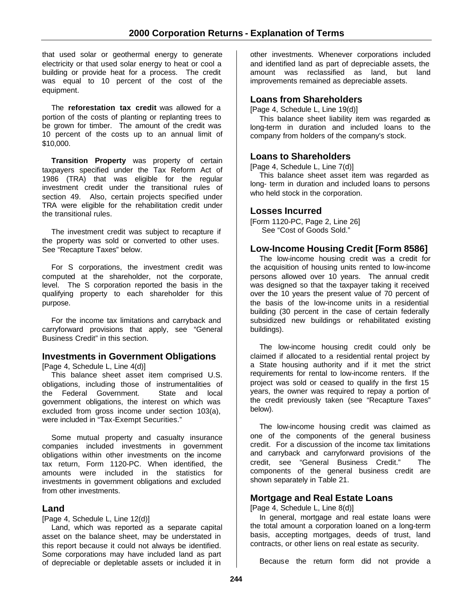that used solar or geothermal energy to generate electricity or that used solar energy to heat or cool a building or provide heat for a process. The credit was equal to 10 percent of the cost of the equipment.

The **reforestation tax credit** was allowed for a portion of the costs of planting or replanting trees to be grown for timber. The amount of the credit was 10 percent of the costs up to an annual limit of \$10,000.

**Transition Property** was property of certain taxpayers specified under the Tax Reform Act of 1986 (TRA) that was eligible for the regular investment credit under the transitional rules of section 49. Also, certain projects specified under TRA were eligible for the rehabilitation credit under the transitional rules.

The investment credit was subject to recapture if the property was sold or converted to other uses. See "Recapture Taxes" below.

For S corporations, the investment credit was computed at the shareholder, not the corporate, level. The S corporation reported the basis in the qualifying property to each shareholder for this purpose.

For the income tax limitations and carryback and carryforward provisions that apply, see "General Business Credit" in this section.

# **Investments in Government Obligations**

[Page 4, Schedule L, Line 4(d)]

This balance sheet asset item comprised U.S. obligations, including those of instrumentalities of the Federal Government. State and local government obligations, the interest on which was excluded from gross income under section 103(a), were included in "Tax-Exempt Securities."

Some mutual property and casualty insurance companies included investments in government obligations within other investments on the income tax return, Form 1120-PC. When identified, the amounts were included in the statistics for investments in government obligations and excluded from other investments.

### **Land**

[Page 4, Schedule L, Line 12(d)]

Land, which was reported as a separate capital asset on the balance sheet, may be understated in this report because it could not always be identified. Some corporations may have included land as part of depreciable or depletable assets or included it in

other investments. Whenever corporations included and identified land as part of depreciable assets, the amount was reclassified as land, but land improvements remained as depreciable assets.

### **Loans from Shareholders**

[Page 4, Schedule L, Line 19(d)]

This balance sheet liability item was regarded as long-term in duration and included loans to the company from holders of the company's stock.

### **Loans to Shareholders**

[Page 4, Schedule L, Line 7(d)]

This balance sheet asset item was regarded as long- term in duration and included loans to persons who held stock in the corporation.

### **Losses Incurred**

[Form 1120-PC, Page 2, Line 26] See "Cost of Goods Sold."

### **Low-Income Housing Credit [Form 8586]**

The low-income housing credit was a credit for the acquisition of housing units rented to low-income persons allowed over 10 years. The annual credit was designed so that the taxpayer taking it received over the 10 years the present value of 70 percent of the basis of the low-income units in a residential building (30 percent in the case of certain federally subsidized new buildings or rehabilitated existing buildings).

The low-income housing credit could only be claimed if allocated to a residential rental project by a State housing authority and if it met the strict requirements for rental to low-income renters. If the project was sold or ceased to qualify in the first 15 years, the owner was required to repay a portion of the credit previously taken (see "Recapture Taxes" below).

The low-income housing credit was claimed as one of the components of the general business credit. For a discussion of the income tax limitations and carryback and carryforward provisions of the credit, see "General Business Credit." The components of the general business credit are shown separately in Table 21.

### **Mortgage and Real Estate Loans**

[Page 4, Schedule L, Line 8(d)]

In general, mortgage and real estate loans were the total amount a corporation loaned on a long-term basis, accepting mortgages, deeds of trust, land contracts, or other liens on real estate as security.

Because the return form did not provide a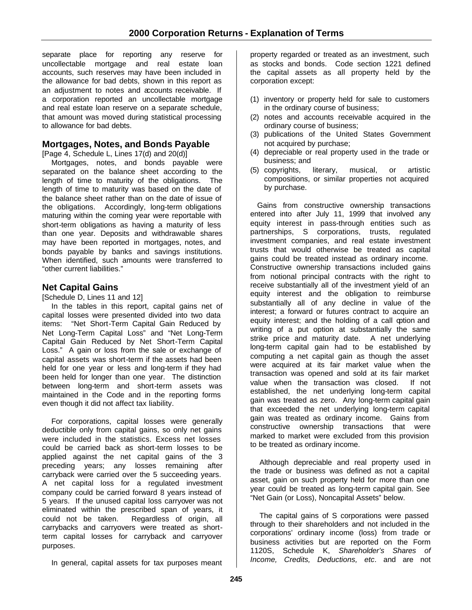separate place for reporting any reserve for uncollectable mortgage and real estate loan accounts, such reserves may have been included in the allowance for bad debts, shown in this report as an adjustment to notes and accounts receivable. If a corporation reported an uncollectable mortgage and real estate loan reserve on a separate schedule, that amount was moved during statistical processing to allowance for bad debts.

# **Mortgages, Notes, and Bonds Payable**

[Page 4, Schedule L, Lines 17(d) and 20(d)]

Mortgages, notes, and bonds payable were separated on the balance sheet according to the length of time to maturity of the obligations. The length of time to maturity was based on the date of the balance sheet rather than on the date of issue of the obligations. Accordingly, long-term obligations maturing within the coming year were reportable with short-term obligations as having a maturity of less than one year. Deposits and withdrawable shares may have been reported in mortgages, notes, and bonds payable by banks and savings institutions. When identified, such amounts were transferred to "other current liabilities."

### **Net Capital Gains**

[Schedule D, Lines 11 and 12]

In the tables in this report, capital gains net of capital losses were presented divided into two data items: "Net Short-Term Capital Gain Reduced by Net Long-Term Capital Loss" and "Net Long-Term Capital Gain Reduced by Net Short-Term Capital Loss." A gain or loss from the sale or exchange of capital assets was short-term if the assets had been held for one year or less and long-term if they had been held for longer than one year. The distinction between long-term and short-term assets was maintained in the Code and in the reporting forms even though it did not affect tax liability.

For corporations, capital losses were generally deductible only from capital gains, so only net gains were included in the statistics. Excess net losses could be carried back as short-term losses to be applied against the net capital gains of the 3 preceding years; any losses remaining after carryback were carried over the 5 succeeding years. A net capital loss for a regulated investment company could be carried forward 8 years instead of 5 years. If the unused capital loss carryover was not eliminated within the prescribed span of years, it could not be taken. Regardless of origin, all carrybacks and carryovers were treated as shortterm capital losses for carryback and carryover purposes.

In general, capital assets for tax purposes meant

property regarded or treated as an investment, such as stocks and bonds. Code section 1221 defined the capital assets as all property held by the corporation except:

- (1) inventory or property held for sale to customers in the ordinary course of business;
- (2) notes and accounts receivable acquired in the ordinary course of business;
- (3) publications of the United States Government not acquired by purchase;
- (4) depreciable or real property used in the trade or business; and
- (5) copyrights, literary, musical, or artistic compositions, or similar properties not acquired by purchase.

Gains from constructive ownership transactions entered into after July 11, 1999 that involved any equity interest in pass-through entities such as partnerships, S corporations, trusts, regulated investment companies, and real estate investment trusts that would otherwise be treated as capital gains could be treated instead as ordinary income. Constructive ownership transactions included gains from notional principal contracts with the right to receive substantially all of the investment yield of an equity interest and the obligation to reimburse substantially all of any decline in value of the interest; a forward or futures contract to acquire an equity interest; and the holding of a call option and writing of a put option at substantially the same strike price and maturity date. A net underlying long-term capital gain had to be established by computing a net capital gain as though the asset were acquired at its fair market value when the transaction was opened and sold at its fair market value when the transaction was closed. If not established, the net underlying long-term capital gain was treated as zero. Any long-term capital gain that exceeded the net underlying long-term capital gain was treated as ordinary income. Gains from constructive ownership transactions that were marked to market were excluded from this provision to be treated as ordinary income.

Although depreciable and real property used in the trade or business was defined as not a capital asset, gain on such property held for more than one year could be treated as long-term capital gain. See "Net Gain (or Loss), Noncapital Assets" below.

The capital gains of S corporations were passed through to their shareholders and not included in the corporations' ordinary income (loss) from trade or business activities but are reported on the Form 1120S, Schedule K, *Shareholder's Shares of Income, Credits, Deductions, etc*. and are not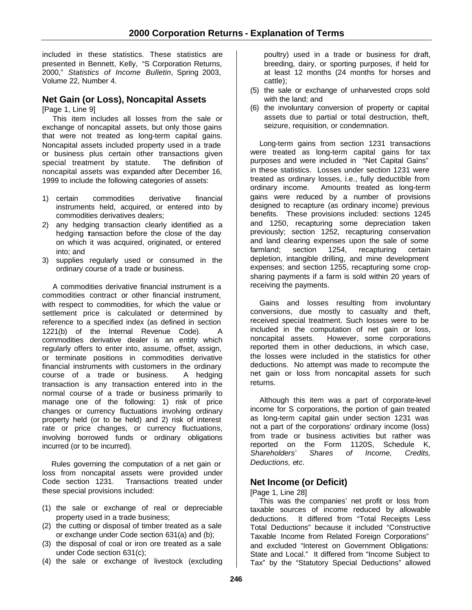included in these statistics. These statistics are presented in Bennett, Kelly, "S Corporation Returns, 2000," *Statistics of Income Bulletin*, Spring 2003, Volume 22, Number 4.

# **Net Gain (or Loss), Noncapital Assets**

[Page 1, Line 9]

This item includes all losses from the sale or exchange of noncapital assets, but only those gains that were not treated as long-term capital gains. Noncapital assets included property used in a trade or business plus certain other transactions given special treatment by statute. The definition of noncapital assets was expanded after December 16, 1999 to include the following categories of assets:

- 1) certain commodities derivative financial instruments held, acquired, or entered into by commodities derivatives dealers;
- 2) any hedging transaction clearly identified as a hedging tansaction before the close of the day on which it was acquired, originated, or entered into; and
- 3) supplies regularly used or consumed in the ordinary course of a trade or business.

A commodities derivative financial instrument is a commodities contract or other financial instrument, with respect to commodities, for which the value or settlement price is calculated or determined by reference to a specified index (as defined in section 1221(b) of the Internal Revenue Code). A commodities derivative dealer is an entity which regularly offers to enter into, assume, offset, assign, or terminate positions in commodities derivative financial instruments with customers in the ordinary course of a trade or business. A hedging transaction is any transaction entered into in the normal course of a trade or business primarily to manage one of the following: 1) risk of price changes or currency fluctuations involving ordinary property held (or to be held) and 2) risk of interest rate or price changes, or currency fluctuations, involving borrowed funds or ordinary obligations incurred (or to be incurred).

Rules governing the computation of a net gain or loss from noncapital assets were provided under Code section 1231. Transactions treated under these special provisions included:

- (1) the sale or exchange of real or depreciable property used in a trade business;
- (2) the cutting or disposal of timber treated as a sale or exchange under Code section 631(a) and (b);
- (3) the disposal of coal or iron ore treated as a sale under Code section 631(c);
- (4) the sale or exchange of livestock (excluding

poultry) used in a trade or business for draft, breeding, dairy, or sporting purposes, if held for at least 12 months (24 months for horses and cattle);

- (5) the sale or exchange of unharvested crops sold with the land; and
- (6) the involuntary conversion of property or capital assets due to partial or total destruction, theft, seizure, requisition, or condemnation.

Long-term gains from section 1231 transactions were treated as long-term capital gains for tax purposes and were included in "Net Capital Gains" in these statistics. Losses under section 1231 were treated as ordinary losses, i.e., fully deductible from ordinary income. Amounts treated as long-term gains were reduced by a number of provisions designed to recapture (as ordinary income) previous benefits. These provisions included: sections 1245 and 1250, recapturing some depreciation taken previously; section 1252, recapturing conservation and land clearing expenses upon the sale of some farmland; section 1254, recapturing certain depletion, intangible drilling, and mine development expenses; and section 1255, recapturing some cropsharing payments if a farm is sold within 20 years of receiving the payments.

Gains and losses resulting from involuntary conversions, due mostly to casualty and theft, received special treatment. Such losses were to be included in the computation of net gain or loss, noncapital assets. However, some corporations reported them in other deductions, in which case, the losses were included in the statistics for other deductions. No attempt was made to recompute the net gain or loss from noncapital assets for such returns.

Although this item was a part of corporate-level income for S corporations, the portion of gain treated as long-term capital gain under section 1231 was not a part of the corporations' ordinary income (loss) from trade or business activities but rather was reported on the Form 1120S, Schedule K, *Shareholders' Shares of Income, Credits, Deductions, etc.*

# **Net Income (or Deficit)**

[Page 1, Line 28]

This was the companies' net profit or loss from taxable sources of income reduced by allowable deductions. It differed from "Total Receipts Less Total Deductions" because it included "Constructive Taxable Income from Related Foreign Corporations" and excluded "Interest on Government Obligations: State and Local." It differed from "Income Subject to Tax" by the "Statutory Special Deductions" allowed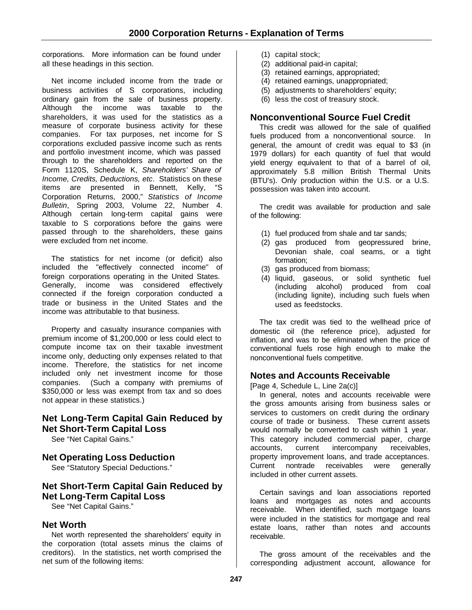corporations. More information can be found under all these headings in this section.

Net income included income from the trade or business activities of S corporations, including ordinary gain from the sale of business property. Although the income was taxable to the shareholders, it was used for the statistics as a measure of corporate business activity for these companies. For tax purposes, net income for S corporations excluded passive income such as rents and portfolio investment income, which was passed through to the shareholders and reported on the Form 1120S, Schedule K, *Shareholders' Share of Income, Credits, Deductions, etc*. Statistics on these items are presented in Bennett, Kelly, "S Corporation Returns, 2000," *Statistics of Income Bulletin*, Spring 2003, Volume 22, Number 4. Although certain long-term capital gains were taxable to S corporations before the gains were passed through to the shareholders, these gains were excluded from net income.

The statistics for net income (or deficit) also included the "effectively connected income" of foreign corporations operating in the United States. Generally, income was considered effectively connected if the foreign corporation conducted a trade or business in the United States and the income was attributable to that business.

Property and casualty insurance companies with premium income of \$1,200,000 or less could elect to compute income tax on their taxable investment income only, deducting only expenses related to that income. Therefore, the statistics for net income included only net investment income for those companies. (Such a company with premiums of \$350,000 or less was exempt from tax and so does not appear in these statistics.)

# **Net Long-Term Capital Gain Reduced by Net Short-Term Capital Loss**

See "Net Capital Gains."

#### **Net Operating Loss Deduction**

See "Statutory Special Deductions."

# **Net Short-Term Capital Gain Reduced by Net Long-Term Capital Loss**

See "Net Capital Gains."

#### **Net Worth**

Net worth represented the shareholders' equity in the corporation (total assets minus the claims of creditors). In the statistics, net worth comprised the net sum of the following items:

- (1) capital stock;
- (2) additional paid-in capital;
- (3) retained earnings, appropriated;
- (4) retained earnings, unappropriated;
- (5) adjustments to shareholders' equity;
- (6) less the cost of treasury stock.

### **Nonconventional Source Fuel Credit**

This credit was allowed for the sale of qualified fuels produced from a nonconventional source. In general, the amount of credit was equal to \$3 (in 1979 dollars) for each quantity of fuel that would yield energy equivalent to that of a barrel of oil, approximately 5.8 million British Thermal Units (BTU's). Only production within the U.S. or a U.S. possession was taken into account.

The credit was available for production and sale of the following:

- (1) fuel produced from shale and tar sands;
- (2) gas produced from geopressured brine, Devonian shale, coal seams, or a tight formation;
- (3) gas produced from biomass;
- (4) liquid, gaseous, or solid synthetic fuel (including alcohol) produced from coal (including lignite), including such fuels when used as feedstocks.

The tax credit was tied to the wellhead price of domestic oil (the reference price), adjusted for inflation, and was to be eliminated when the price of conventional fuels rose high enough to make the nonconventional fuels competitive.

#### **Notes and Accounts Receivable**

[Page 4, Schedule L, Line 2a(c)]

In general, notes and accounts receivable were the gross amounts arising from business sales or services to customers on credit during the ordinary course of trade or business. These current assets would normally be converted to cash within 1 year. This category included commercial paper, charge accounts, current intercompany receivables, property improvement loans, and trade acceptances. Current nontrade receivables were generally included in other current assets.

Certain savings and loan associations reported loans and mortgages as notes and accounts receivable. When identified, such mortgage loans were included in the statistics for mortgage and real estate loans, rather than notes and accounts receivable.

The gross amount of the receivables and the corresponding adjustment account, allowance for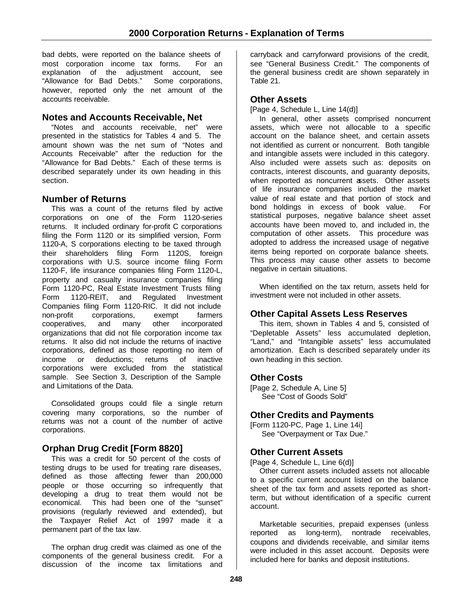bad debts, were reported on the balance sheets of most corporation income tax forms. For an explanation of the adjustment account, see "Allowance for Bad Debts." Some corporations, however, reported only the net amount of the accounts receivable.

# **Notes and Accounts Receivable, Net**

"Notes and accounts receivable, net" were presented in the statistics for Tables 4 and 5. The amount shown was the net sum of "Notes and Accounts Receivable" after the reduction for the "Allowance for Bad Debts." Each of these terms is described separately under its own heading in this section.

# **Number of Returns**

This was a count of the returns filed by active corporations on one of the Form 1120-series returns. It included ordinary for-profit C corporations filing the Form 1120 or its simplified version, Form 1120-A, S corporations electing to be taxed through their shareholders filing Form 1120S, foreign corporations with U.S. source income filing Form 1120-F, life insurance companies filing Form 1120-L, property and casualty insurance companies filing Form 1120-PC, Real Estate Investment Trusts filing Form 1120-REIT, and Regulated Investment Companies filing Form 1120-RIC. It did not include non-profit corporations, exempt farmers cooperatives, and many other incorporated organizations that did not file corporation income tax returns. It also did not include the returns of inactive corporations, defined as those reporting no item of income or deductions; returns of inactive corporations were excluded from the statistical sample. See Section 3, Description of the Sample and Limitations of the Data.

Consolidated groups could file a single return covering many corporations, so the number of returns was not a count of the number of active corporations.

# **Orphan Drug Credit [Form 8820]**

This was a credit for 50 percent of the costs of testing drugs to be used for treating rare diseases, defined as those affecting fewer than 200,000 people or those occurring so infrequently that developing a drug to treat them would not be economical. This had been one of the "sunset" provisions (regularly reviewed and extended), but the Taxpayer Relief Act of 1997 made it a permanent part of the tax law.

The orphan drug credit was claimed as one of the components of the general business credit. For a discussion of the income tax limitations and

carryback and carryforward provisions of the credit, see "General Business Credit." The components of the general business credit are shown separately in Table 21.

### **Other Assets**

[Page 4, Schedule L, Line 14(d)]

In general, other assets comprised noncurrent assets, which were not allocable to a specific account on the balance sheet, and certain assets not identified as current or noncurrent. Both tangible and intangible assets were included in this category. Also included were assets such as: deposits on contracts, interest discounts, and guaranty deposits, when reported as noncurrent assets. Other assets of life insurance companies included the market value of real estate and that portion of stock and bond holdings in excess of book value. For statistical purposes, negative balance sheet asset accounts have been moved to, and included in, the computation of other assets. This procedure was adopted to address the increased usage of negative items being reported on corporate balance sheets. This process may cause other assets to become negative in certain situations.

When identified on the tax return, assets held for investment were not included in other assets.

# **Other Capital Assets Less Reserves**

This item, shown in Tables 4 and 5, consisted of "Depletable Assets" less accumulated depletion, "Land," and "Intangible assets" less accumulated amortization. Each is described separately under its own heading in this section.

# **Other Costs**

[Page 2, Schedule A, Line 5] See "Cost of Goods Sold"

# **Other Credits and Payments**

[Form 1120-PC, Page 1, Line 14i] See "Overpayment or Tax Due."

# **Other Current Assets**

[Page 4, Schedule L, Line 6(d)]

Other current assets included assets not allocable to a specific current account listed on the balance sheet of the tax form and assets reported as shortterm, but without identification of a specific current account.

Marketable securities, prepaid expenses (unless reported as long-term), nontrade receivables, coupons and dividends receivable, and similar items were included in this asset account. Deposits were included here for banks and deposit institutions.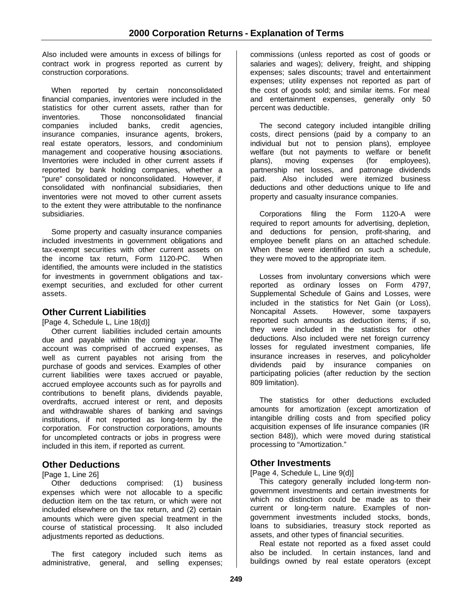Also included were amounts in excess of billings for contract work in progress reported as current by construction corporations.

When reported by certain nonconsolidated financial companies, inventories were included in the statistics for other current assets, rather than for inventories. Those nonconsolidated financial companies included banks, credit agencies, insurance companies, insurance agents, brokers, real estate operators, lessors, and condominium management and cooperative housing associations. Inventories were included in other current assets if reported by bank holding companies, whether a "pure" consolidated or nonconsolidated. However, if consolidated with nonfinancial subsidiaries, then inventories were not moved to other current assets to the extent they were attributable to the nonfinance subsidiaries.

Some property and casualty insurance companies included investments in government obligations and tax-exempt securities with other current assets on the income tax return, Form 1120-PC. When identified, the amounts were included in the statistics for investments in government obligations and taxexempt securities, and excluded for other current assets.

# **Other Current Liabilities**

[Page 4, Schedule L, Line 18(d)]

Other current liabilities included certain amounts due and payable within the coming year. The account was comprised of accrued expenses, as well as current payables not arising from the purchase of goods and services. Examples of other current liabilities were taxes accrued or payable, accrued employee accounts such as for payrolls and contributions to benefit plans, dividends payable, overdrafts, accrued interest or rent, and deposits and withdrawable shares of banking and savings institutions, if not reported as long-term by the corporation. For construction corporations, amounts for uncompleted contracts or jobs in progress were included in this item, if reported as current.

# **Other Deductions**

#### [Page 1, Line 26]

Other deductions comprised: (1) business expenses which were not allocable to a specific deduction item on the tax return, or which were not included elsewhere on the tax return, and (2) certain amounts which were given special treatment in the course of statistical processing. It also included adjustments reported as deductions.

The first category included such items as administrative, general, and selling expenses; commissions (unless reported as cost of goods or salaries and wages); delivery, freight, and shipping expenses; sales discounts; travel and entertainment expenses; utility expenses not reported as part of the cost of goods sold; and similar items. For meal and entertainment expenses, generally only 50 percent was deductible.

The second category included intangible drilling costs, direct pensions (paid by a company to an individual but not to pension plans), employee welfare (but not payments to welfare or benefit plans), moving expenses (for employees), partnership net losses, and patronage dividends paid. Also included were itemized business deductions and other deductions unique to life and property and casualty insurance companies.

Corporations filing the Form 1120-A were required to report amounts for advertising, depletion, and deductions for pension, profit-sharing, and employee benefit plans on an attached schedule. When these were identified on such a schedule, they were moved to the appropriate item.

Losses from involuntary conversions which were reported as ordinary losses on Form 4797, Supplemental Schedule of Gains and Losses, were included in the statistics for Net Gain (or Loss), Noncapital Assets. However, some taxpayers reported such amounts as deduction items; if so, they were included in the statistics for other deductions. Also included were net foreign currency losses for regulated investment companies, life insurance increases in reserves, and policyholder dividends paid by insurance companies on participating policies (after reduction by the section 809 limitation).

The statistics for other deductions excluded amounts for amortization (except amortization of intangible drilling costs and from specified policy acquisition expenses of life insurance companies (IR section 848)), which were moved during statistical processing to "Amortization."

### **Other Investments**

[Page 4, Schedule L, Line 9(d)]

This category generally included long-term nongovernment investments and certain investments for which no distinction could be made as to their current or long-term nature. Examples of nongovernment investments included stocks, bonds, loans to subsidiaries, treasury stock reported as assets, and other types of financial securities.

Real estate not reported as a fixed asset could also be included. In certain instances, land and buildings owned by real estate operators (except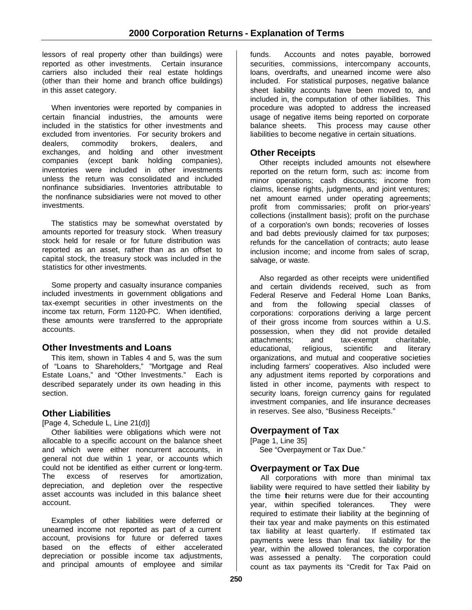lessors of real property other than buildings) were reported as other investments. Certain insurance carriers also included their real estate holdings (other than their home and branch office buildings) in this asset category.

When inventories were reported by companies in certain financial industries, the amounts were included in the statistics for other investments and excluded from inventories. For security brokers and dealers, commodity brokers, dealers, and exchanges, and holding and other investment companies (except bank holding companies), inventories were included in other investments unless the return was consolidated and included nonfinance subsidiaries. Inventories attributable to the nonfinance subsidiaries were not moved to other investments.

The statistics may be somewhat overstated by amounts reported for treasury stock. When treasury stock held for resale or for future distribution was reported as an asset, rather than as an offset to capital stock, the treasury stock was included in the statistics for other investments.

Some property and casualty insurance companies included investments in government obligations and tax-exempt securities in other investments on the income tax return, Form 1120-PC. When identified, these amounts were transferred to the appropriate accounts.

# **Other Investments and Loans**

This item, shown in Tables 4 and 5, was the sum of "Loans to Shareholders," "Mortgage and Real Estate Loans," and "Other Investments." Each is described separately under its own heading in this section.

# **Other Liabilities**

[Page 4, Schedule L, Line 21(d)]

Other liabilities were obligations which were not allocable to a specific account on the balance sheet and which were either noncurrent accounts, in general not due within 1 year, or accounts which could not be identified as either current or long-term. The excess of reserves for amortization, depreciation, and depletion over the respective asset accounts was included in this balance sheet account.

Examples of other liabilities were deferred or unearned income not reported as part of a current account, provisions for future or deferred taxes based on the effects of either accelerated depreciation or possible income tax adjustments, and principal amounts of employee and similar

funds. Accounts and notes payable, borrowed securities, commissions, intercompany accounts, loans, overdrafts, and unearned income were also included. For statistical purposes, negative balance sheet liability accounts have been moved to, and included in, the computation of other liabilities. This procedure was adopted to address the increased usage of negative items being reported on corporate balance sheets. This process may cause other liabilities to become negative in certain situations.

### **Other Receipts**

Other receipts included amounts not elsewhere reported on the return form, such as: income from minor operations; cash discounts; income from claims, license rights, judgments, and joint ventures; net amount earned under operating agreements; profit from commissaries; profit on prior-years' collections (installment basis); profit on the purchase of a corporation's own bonds; recoveries of losses and bad debts previously claimed for tax purposes; refunds for the cancellation of contracts; auto lease inclusion income; and income from sales of scrap, salvage, or waste.

Also regarded as other receipts were unidentified and certain dividends received, such as from Federal Reserve and Federal Home Loan Banks, and from the following special classes of corporations: corporations deriving a large percent of their gross income from sources within a U.S. possession, when they did not provide detailed attachments; and tax-exempt charitable, educational, religious, scientific and literary organizations, and mutual and cooperative societies including farmers' cooperatives. Also included were any adjustment items reported by corporations and listed in other income, payments with respect to security loans, foreign currency gains for regulated investment companies, and life insurance decreases in reserves. See also, "Business Receipts."

# **Overpayment of Tax**

[Page 1, Line 35] See "Overpayment or Tax Due."

# **Overpayment or Tax Due**

All corporations with more than minimal tax liability were required to have settled their liability by the time their returns were due for their accounting year, within specified tolerances. They were required to estimate their liability at the beginning of their tax year and make payments on this estimated tax liability at least quarterly. If estimated tax payments were less than final tax liability for the year, within the allowed tolerances, the corporation was assessed a penalty. The corporation could count as tax payments its "Credit for Tax Paid on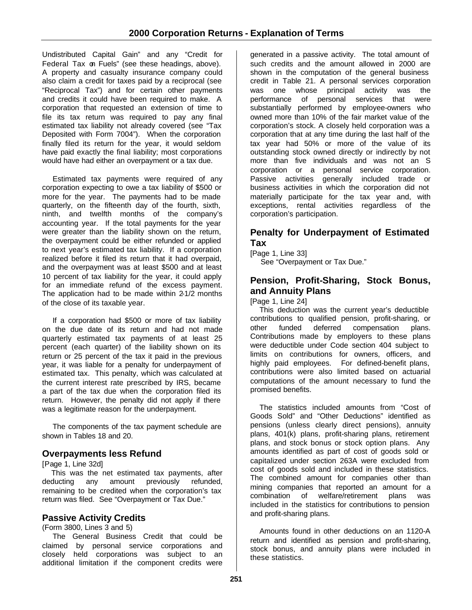Undistributed Capital Gain" and any "Credit for Federal Tax on Fuels" (see these headings, above). A property and casualty insurance company could also claim a credit for taxes paid by a reciprocal (see "Reciprocal Tax") and for certain other payments and credits it could have been required to make. A corporation that requested an extension of time to file its tax return was required to pay any final estimated tax liability not already covered (see "Tax Deposited with Form 7004"). When the corporation finally filed its return for the year, it would seldom have paid exactly the final liability; most corporations would have had either an overpayment or a tax due.

Estimated tax payments were required of any corporation expecting to owe a tax liability of \$500 or more for the year. The payments had to be made quarterly, on the fifteenth day of the fourth, sixth, ninth, and twelfth months of the company's accounting year. If the total payments for the year were greater than the liability shown on the return, the overpayment could be either refunded or applied to next year's estimated tax liability. If a corporation realized before it filed its return that it had overpaid, and the overpayment was at least \$500 and at least 10 percent of tax liability for the year, it could apply for an immediate refund of the excess payment. The application had to be made within 2-1/2 months of the close of its taxable year.

If a corporation had \$500 or more of tax liability on the due date of its return and had not made quarterly estimated tax payments of at least 25 percent (each quarter) of the liability shown on its return or 25 percent of the tax it paid in the previous year, it was liable for a penalty for underpayment of estimated tax. This penalty, which was calculated at the current interest rate prescribed by IRS, became a part of the tax due when the corporation filed its return. However, the penalty did not apply if there was a legitimate reason for the underpayment.

The components of the tax payment schedule are shown in Tables 18 and 20.

# **Overpayments less Refund**

[Page 1, Line 32d]

This was the net estimated tax payments, after deducting any amount previously refunded, remaining to be credited when the corporation's tax return was filed. See "Overpayment or Tax Due."

# **Passive Activity Credits**

(Form 3800, Lines 3 and 5)

The General Business Credit that could be claimed by personal service corporations and closely held corporations was subject to an additional limitation if the component credits were

generated in a passive activity. The total amount of such credits and the amount allowed in 2000 are shown in the computation of the general business credit in Table 21. A personal services corporation was one whose principal activity was the performance of personal services that were substantially performed by employee-owners who owned more than 10% of the fair market value of the corporation's stock. A closely held corporation was a corporation that at any time during the last half of the tax year had 50% or more of the value of its outstanding stock owned directly or indirectly by not more than five individuals and was not an S corporation or a personal service corporation. Passive activities generally included trade or business activities in which the corporation did not materially participate for the tax year and, with exceptions, rental activities regardless of the corporation's participation.

# **Penalty for Underpayment of Estimated Tax**

[Page 1, Line 33] See "Overpayment or Tax Due."

# **Pension, Profit-Sharing, Stock Bonus, and Annuity Plans**

[Page 1, Line 24]

This deduction was the current year's deductible contributions to qualified pension, profit-sharing, or other funded deferred compensation plans. Contributions made by employers to these plans were deductible under Code section 404 subject to limits on contributions for owners, officers, and highly paid employees. For defined-benefit plans, contributions were also limited based on actuarial computations of the amount necessary to fund the promised benefits.

The statistics included amounts from "Cost of Goods Sold" and "Other Deductions" identified as pensions (unless clearly direct pensions), annuity plans, 401(k) plans, profit-sharing plans, retirement plans, and stock bonus or stock option plans. Any amounts identified as part of cost of goods sold or capitalized under section 263A were excluded from cost of goods sold and included in these statistics. The combined amount for companies other than mining companies that reported an amount for a combination of welfare/retirement plans was included in the statistics for contributions to pension and profit-sharing plans.

Amounts found in other deductions on an 1120-A return and identified as pension and profit-sharing, stock bonus, and annuity plans were included in these statistics.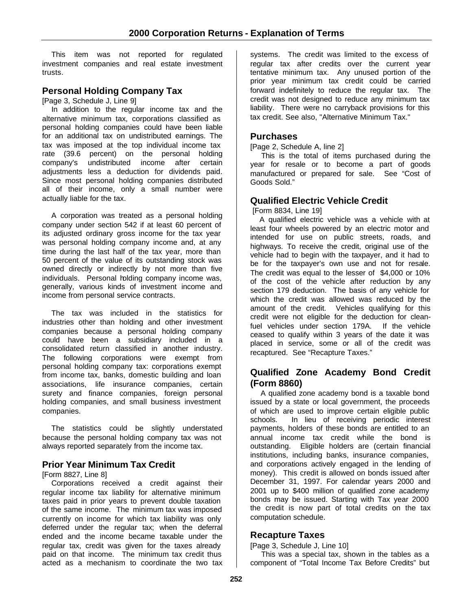This item was not reported for regulated investment companies and real estate investment trusts.

# **Personal Holding Company Tax**

[Page 3, Schedule J, Line 9]

In addition to the regular income tax and the alternative minimum tax, corporations classified as personal holding companies could have been liable for an additional tax on undistributed earnings. The tax was imposed at the top individual income tax rate (39.6 percent) on the personal holding company's undistributed income after certain adjustments less a deduction for dividends paid. Since most personal holding companies distributed all of their income, only a small number were actually liable for the tax.

A corporation was treated as a personal holding company under section 542 if at least 60 percent of its adjusted ordinary gross income for the tax year was personal holding company income and, at any time during the last half of the tax year, more than 50 percent of the value of its outstanding stock was owned directly or indirectly by not more than five individuals. Personal holding company income was, generally, various kinds of investment income and income from personal service contracts.

The tax was included in the statistics for industries other than holding and other investment companies because a personal holding company could have been a subsidiary included in a consolidated return classified in another industry. The following corporations were exempt from personal holding company tax: corporations exempt from income tax, banks, domestic building and loan associations, life insurance companies, certain surety and finance companies, foreign personal holding companies, and small business investment companies.

The statistics could be slightly understated because the personal holding company tax was not always reported separately from the income tax.

# **Prior Year Minimum Tax Credit**

[Form 8827, Line 8]

Corporations received a credit against their regular income tax liability for alternative minimum taxes paid in prior years to prevent double taxation of the same income. The minimum tax was imposed currently on income for which tax liability was only deferred under the regular tax; when the deferral ended and the income became taxable under the regular tax, credit was given for the taxes already paid on that income. The minimum tax credit thus acted as a mechanism to coordinate the two tax

systems. The credit was limited to the excess of regular tax after credits over the current year tentative minimum tax. Any unused portion of the prior year minimum tax credit could be carried forward indefinitely to reduce the regular tax. The credit was not designed to reduce any minimum tax liability. There were no carryback provisions for this tax credit. See also, "Alternative Minimum Tax."

### **Purchases**

[Page 2, Schedule A, line 2]

This is the total of items purchased during the year for resale or to become a part of goods manufactured or prepared for sale. See "Cost of Goods Sold."

# **Qualified Electric Vehicle Credit**

[Form 8834, Line 19]

A qualified electric vehicle was a vehicle with at least four wheels powered by an electric motor and intended for use on public streets, roads, and highways. To receive the credit, original use of the vehicle had to begin with the taxpayer, and it had to be for the taxpayer's own use and not for resale. The credit was equal to the lesser of \$4,000 or 10% of the cost of the vehicle after reduction by any section 179 deduction. The basis of any vehicle for which the credit was allowed was reduced by the amount of the credit. Vehicles qualifying for this credit were not eligible for the deduction for cleanfuel vehicles under section 179A. If the vehicle ceased to qualify within 3 years of the date it was placed in service, some or all of the credit was recaptured. See "Recapture Taxes."

# **Qualified Zone Academy Bond Credit (Form 8860)**

A qualified zone academy bond is a taxable bond issued by a state or local government, the proceeds of which are used to improve certain eligible public schools. In lieu of receiving periodic interest payments, holders of these bonds are entitled to an annual income tax credit while the bond is outstanding. Eligible holders are (certain financial institutions, including banks, insurance companies, and corporations actively engaged in the lending of money). This credit is allowed on bonds issued after December 31, 1997. For calendar years 2000 and 2001 up to \$400 million of qualified zone academy bonds may be issued. Starting with Tax year 2000 the credit is now part of total credits on the tax computation schedule.

### **Recapture Taxes**

[Page 3, Schedule J, Line 10]

This was a special tax, shown in the tables as a component of "Total Income Tax Before Credits" but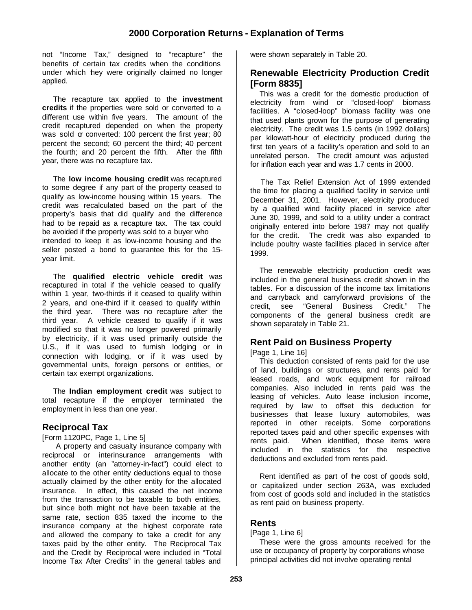not "Income Tax," designed to "recapture" the benefits of certain tax credits when the conditions under which they were originally claimed no longer applied.

The recapture tax applied to the **investment credits** if the properties were sold or converted to a different use within five years. The amount of the credit recaptured depended on when the property was sold or converted: 100 percent the first year; 80 percent the second; 60 percent the third; 40 percent the fourth; and 20 percent the fifth. After the fifth year, there was no recapture tax.

The **low income housing credit** was recaptured to some degree if any part of the property ceased to qualify as low-income housing within 15 years. The credit was recalculated based on the part of the property's basis that did qualify and the difference had to be repaid as a recapture tax. The tax could be avoided if the property was sold to a buyer who intended to keep it as low-income housing and the seller posted a bond to guarantee this for the 15 year limit.

The **qualified electric vehicle credit** was recaptured in total if the vehicle ceased to qualify within 1 year, two-thirds if it ceased to qualify within 2 years, and one-third if it ceased to qualify within the third year. There was no recapture after the third year. A vehicle ceased to qualify if it was modified so that it was no longer powered primarily by electricity, if it was used primarily outside the U.S., if it was used to furnish lodging or in connection with lodging, or if it was used by governmental units, foreign persons or entities, or certain tax exempt organizations.

The **Indian employment credit** was subject to total recapture if the employer terminated the employment in less than one year.

# **Reciprocal Tax**

[Form 1120PC, Page 1, Line 5]

 A property and casualty insurance company with reciprocal or interinsurance arrangements with another entity (an "attorney-in-fact") could elect to allocate to the other entity deductions equal to those actually claimed by the other entity for the allocated insurance. In effect, this caused the net income from the transaction to be taxable to both entities, but since both might not have been taxable at the same rate, section 835 taxed the income to the insurance company at the highest corporate rate and allowed the company to take a credit for any taxes paid by the other entity. The Reciprocal Tax and the Credit by Reciprocal were included in "Total Income Tax After Credits" in the general tables and

were shown separately in Table 20.

### **Renewable Electricity Production Credit [Form 8835]**

This was a credit for the domestic production of electricity from wind or "closed-loop" biomass facilities. A "closed-loop" biomass facility was one that used plants grown for the purpose of generating electricity. The credit was 1.5 cents (in 1992 dollars) per kilowatt-hour of electricity produced during the first ten years of a facility's operation and sold to an unrelated person. The credit amount was adjusted for inflation each year and was 1.7 cents in 2000.

The Tax Relief Extension Act of 1999 extended the time for placing a qualified facility in service until December 31, 2001. However, electricity produced by a qualified wind facility placed in service after June 30, 1999, and sold to a utility under a contract originally entered into before 1987 may not qualify for the credit. The credit was also expanded to include poultry waste facilities placed in service after 1999.

The renewable electricity production credit was included in the general business credit shown in the tables. For a discussion of the income tax limitations and carryback and carryforward provisions of the credit, see "General Business Credit." The components of the general business credit are shown separately in Table 21.

# **Rent Paid on Business Property**

[Page 1, Line 16]

This deduction consisted of rents paid for the use of land, buildings or structures, and rents paid for leased roads, and work equipment for railroad companies. Also included in rents paid was the leasing of vehicles. Auto lease inclusion income, required by law to offset this deduction for businesses that lease luxury automobiles, was reported in other receipts. Some corporations reported taxes paid and other specific expenses with rents paid. When identified, those items were included in the statistics for the respective deductions and excluded from rents paid.

Rent identified as part of the cost of goods sold, or capitalized under section 263A, was excluded from cost of goods sold and included in the statistics as rent paid on business property.

### **Rents**

#### [Page 1, Line 6]

These were the gross amounts received for the use or occupancy of property by corporations whose principal activities did not involve operating rental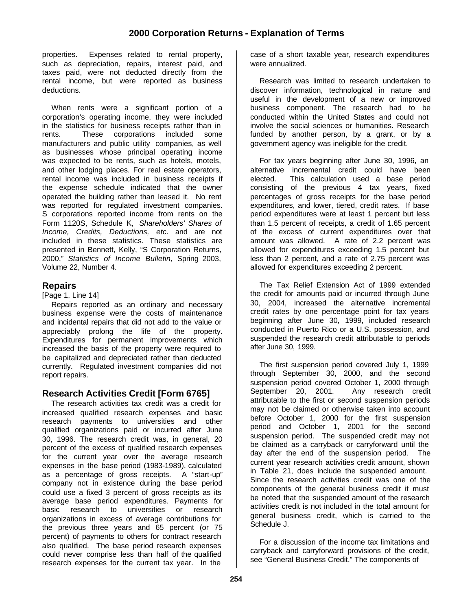properties. Expenses related to rental property, such as depreciation, repairs, interest paid, and taxes paid, were not deducted directly from the rental income, but were reported as business deductions.

When rents were a significant portion of a corporation's operating income, they were included in the statistics for business receipts rather than in rents. These corporations included some manufacturers and public utility companies, as well as businesses whose principal operating income was expected to be rents, such as hotels, motels, and other lodging places. For real estate operators, rental income was included in business receipts if the expense schedule indicated that the owner operated the building rather than leased it. No rent was reported for regulated investment companies. S corporations reported income from rents on the Form 1120S, Schedule K, *Shareholders' Shares of Income, Credits, Deductions, etc*. and are not included in these statistics. These statistics are presented in Bennett, Kelly, "S Corporation Returns, 2000," *Statistics of Income Bulletin,* Spring 2003, Volume 22, Number 4.

# **Repairs**

[Page 1, Line 14]

Repairs reported as an ordinary and necessary business expense were the costs of maintenance and incidental repairs that did not add to the value or appreciably prolong the life of the property. Expenditures for permanent improvements which increased the basis of the property were required to be capitalized and depreciated rather than deducted currently. Regulated investment companies did not report repairs.

# **Research Activities Credit [Form 6765]**

The research activities tax credit was a credit for increased qualified research expenses and basic research payments to universities and other qualified organizations paid or incurred after June 30, 1996. The research credit was, in general, 20 percent of the excess of qualified research expenses for the current year over the average research expenses in the base period (1983-1989), calculated as a percentage of gross receipts. A "start-up" company not in existence during the base period could use a fixed 3 percent of gross receipts as its average base period expenditures. Payments for basic research to universities or research organizations in excess of average contributions for the previous three years and 65 percent (or 75 percent) of payments to others for contract research also qualified. The base period research expenses could never comprise less than half of the qualified research expenses for the current tax year. In the

case of a short taxable year, research expenditures were annualized.

Research was limited to research undertaken to discover information, technological in nature and useful in the development of a new or improved business component. The research had to be conducted within the United States and could not involve the social sciences or humanities. Research funded by another person, by a grant, or by a government agency was ineligible for the credit.

For tax years beginning after June 30, 1996, an alternative incremental credit could have been elected. This calculation used a base period consisting of the previous 4 tax years, fixed percentages of gross receipts for the base period expenditures, and lower, tiered, credit rates. If base period expenditures were at least 1 percent but less than 1.5 percent of receipts, a credit of 1.65 percent of the excess of current expenditures over that amount was allowed. A rate of 2.2 percent was allowed for expenditures exceeding 1.5 percent but less than 2 percent, and a rate of 2.75 percent was allowed for expenditures exceeding 2 percent.

The Tax Relief Extension Act of 1999 extended the credit for amounts paid or incurred through June 30, 2004, increased the alternative incremental credit rates by one percentage point for tax years beginning after June 30, 1999, included research conducted in Puerto Rico or a U.S. possession, and suspended the research credit attributable to periods after June 30, 1999.

The first suspension period covered July 1, 1999 through September 30, 2000, and the second suspension period covered October 1, 2000 through September 20, 2001. Any research credit attributable to the first or second suspension periods may not be claimed or otherwise taken into account before October 1, 2000 for the first suspension period and October 1, 2001 for the second suspension period. The suspended credit may not be claimed as a carryback or carryforward until the day after the end of the suspension period. The current year research activities credit amount, shown in Table 21, does include the suspended amount. Since the research activities credit was one of the components of the general business credit it must be noted that the suspended amount of the research activities credit is not included in the total amount for general business credit, which is carried to the Schedule J.

For a discussion of the income tax limitations and carryback and carryforward provisions of the credit, see "General Business Credit." The components of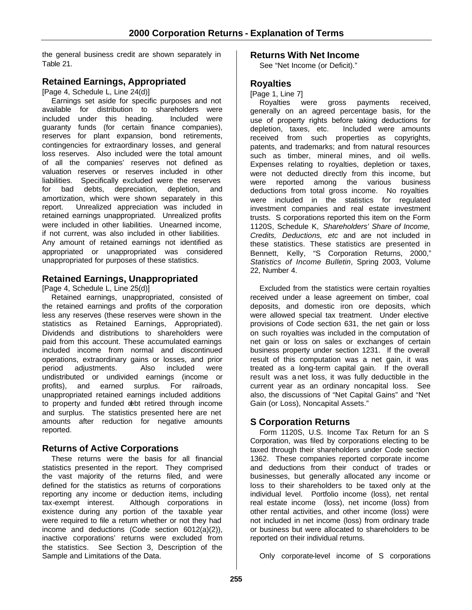the general business credit are shown separately in Table 21.

# **Retained Earnings, Appropriated**

[Page 4, Schedule L, Line 24(d)]

Earnings set aside for specific purposes and not available for distribution to shareholders were included under this heading. Included were guaranty funds (for certain finance companies), reserves for plant expansion, bond retirements, contingencies for extraordinary losses, and general loss reserves. Also included were the total amount of all the companies' reserves not defined as valuation reserves or reserves included in other liabilities. Specifically excluded were the reserves for bad debts, depreciation, depletion, and amortization, which were shown separately in this report. Unrealized appreciation was included in retained earnings unappropriated. Unrealized profits were included in other liabilities. Unearned income, if not current, was also included in other liabilities. Any amount of retained earnings not identified as appropriated or unappropriated was considered unappropriated for purposes of these statistics.

# **Retained Earnings, Unappropriated**

[Page 4, Schedule L, Line 25(d)]

Retained earnings, unappropriated, consisted of the retained earnings and profits of the corporation less any reserves (these reserves were shown in the statistics as Retained Earnings, Appropriated). Dividends and distributions to shareholders were paid from this account. These accumulated earnings included income from normal and discontinued operations, extraordinary gains or losses, and prior period adjustments. Also included were undistributed or undivided earnings (income or profits), and earned surplus. For railroads, unappropriated retained earnings included additions to property and funded debt retired through income and surplus. The statistics presented here are net amounts after reduction for negative amounts reported.

# **Returns of Active Corporations**

These returns were the basis for all financial statistics presented in the report. They comprised the vast majority of the returns filed, and were defined for the statistics as returns of corporations reporting any income or deduction items, including tax-exempt interest. Although corporations in existence during any portion of the taxable year were required to file a return whether or not they had income and deductions (Code section 6012(a)(2)), inactive corporations' returns were excluded from the statistics. See Section 3, Description of the Sample and Limitations of the Data.

### **Returns With Net Income**

See "Net Income (or Deficit)."

### **Royalties**

#### [Page 1, Line 7]

Royalties were gross payments received, generally on an agreed percentage basis, for the use of property rights before taking deductions for depletion, taxes, etc. Included were amounts received from such properties as copyrights, patents, and trademarks; and from natural resources such as timber, mineral mines, and oil wells. Expenses relating to royalties, depletion or taxes, were not deducted directly from this income, but were reported among the various business deductions from total gross income. No royalties were included in the statistics for regulated investment companies and real estate investment trusts. S corporations reported this item on the Form 1120S, Schedule K, *Shareholders' Share of Income, Credits, Deductions, etc* and are not included in these statistics. These statistics are presented in Bennett, Kelly, "S Corporation Returns, 2000," *Statistics of Income Bulletin*, Spring 2003, Volume 22, Number 4.

Excluded from the statistics were certain royalties received under a lease agreement on timber, coal deposits, and domestic iron ore deposits, which were allowed special tax treatment. Under elective provisions of Code section 631, the net gain or loss on such royalties was included in the computation of net gain or loss on sales or exchanges of certain business property under section 1231. If the overall result of this computation was a net gain, it was treated as a long-term capital gain. If the overall result was a net loss, it was fully deductible in the current year as an ordinary noncapital loss. See also, the discussions of "Net Capital Gains" and "Net Gain (or Loss), Noncapital Assets."

# **S Corporation Returns**

Form 1120S, U.S. Income Tax Return for an S Corporation, was filed by corporations electing to be taxed through their shareholders under Code section 1362. These companies reported corporate income and deductions from their conduct of trades or businesses, but generally allocated any income or loss to their shareholders to be taxed only at the individual level. Portfolio income (loss), net rental real estate income (loss), net income (loss) from other rental activities, and other income (loss) were not included in net income (loss) from ordinary trade or business but were allocated to shareholders to be reported on their individual returns.

Only corporate-level income of S corporations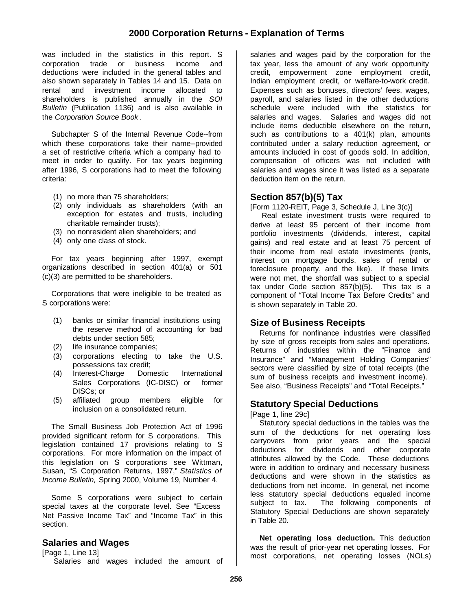was included in the statistics in this report. S corporation trade or business income and deductions were included in the general tables and also shown separately in Tables 14 and 15. Data on rental and investment income allocated to shareholders is published annually in the *SOI Bulletin* (Publication 1136) and is also available in the *Corporation Source Book* .

Subchapter S of the Internal Revenue Code--from which these corporations take their name--provided a set of restrictive criteria which a company had to meet in order to qualify. For tax years beginning after 1996, S corporations had to meet the following criteria:

- (1) no more than 75 shareholders;
- (2) only individuals as shareholders (with an exception for estates and trusts, including charitable remainder trusts);
- (3) no nonresident alien shareholders; and
- (4) only one class of stock.

For tax years beginning after 1997, exempt organizations described in section 401(a) or 501 (c)(3) are permitted to be shareholders.

Corporations that were ineligible to be treated as S corporations were:

- (1) banks or similar financial institutions using the reserve method of accounting for bad debts under section 585;
- (2) life insurance companies;
- (3) corporations electing to take the U.S. possessions tax credit;
- (4) Interest-Charge Domestic International Sales Corporations (IC-DISC) or former DISCs; or
- (5) affiliated group members eligible for inclusion on a consolidated return.

The Small Business Job Protection Act of 1996 provided significant reform for S corporations. This legislation contained 17 provisions relating to S corporations. For more information on the impact of this legislation on S corporations see Wittman, Susan, "S Corporation Returns, 1997," *Statistics of Income Bulletin,* Spring 2000, Volume 19, Number 4.

Some S corporations were subject to certain special taxes at the corporate level. See "Excess Net Passive Income Tax" and "Income Tax" in this section.

### **Salaries and Wages**

[Page 1, Line 13] Salaries and wages included the amount of salaries and wages paid by the corporation for the tax year, less the amount of any work opportunity credit, empowerment zone employment credit, Indian employment credit, or welfare-to-work credit. Expenses such as bonuses, directors' fees, wages, payroll, and salaries listed in the other deductions schedule were included with the statistics for salaries and wages. Salaries and wages did not include items deductible elsewhere on the return, such as contributions to a 401(k) plan, amounts contributed under a salary reduction agreement, or amounts included in cost of goods sold. In addition, compensation of officers was not included with salaries and wages since it was listed as a separate deduction item on the return.

### **Section 857(b)(5) Tax**

[Form 1120-REIT, Page 3, Schedule J, Line 3(c)]

 Real estate investment trusts were required to derive at least 95 percent of their income from portfolio investments (dividends, interest, capital gains) and real estate and at least 75 percent of their income from real estate investments (rents, interest on mortgage bonds, sales of rental or foreclosure property, and the like). If these limits were not met, the shortfall was subject to a special tax under Code section 857(b)(5). This tax is a component of "Total Income Tax Before Credits" and is shown separately in Table 20.

### **Size of Business Receipts**

Returns for nonfinance industries were classified by size of gross receipts from sales and operations. Returns of industries within the "Finance and Insurance" and "Management Holding Companies" sectors were classified by size of total receipts (the sum of business receipts and investment income). See also, "Business Receipts" and "Total Receipts."

### **Statutory Special Deductions**

[Page 1, line 29c]

Statutory special deductions in the tables was the sum of the deductions for net operating loss carryovers from prior years and the special deductions for dividends and other corporate attributes allowed by the Code. These deductions were in addition to ordinary and necessary business deductions and were shown in the statistics as deductions from net income. In general, net income less statutory special deductions equaled income subject to tax. The following components of Statutory Special Deductions are shown separately in Table 20.

**Net operating loss deduction.** This deduction was the result of prior-year net operating losses. For most corporations, net operating losses (NOLs)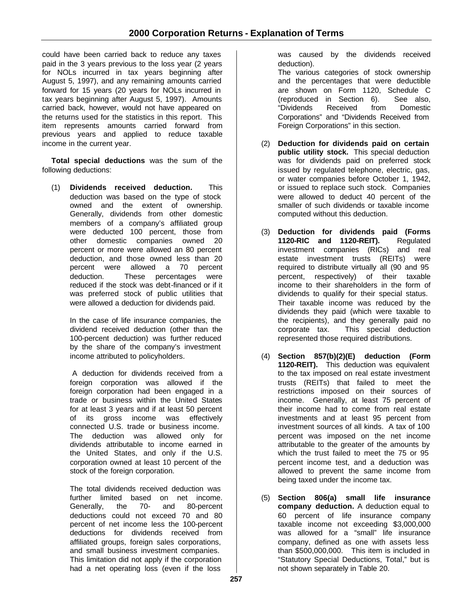could have been carried back to reduce any taxes paid in the 3 years previous to the loss year (2 years for NOLs incurred in tax years beginning after August 5, 1997), and any remaining amounts carried forward for 15 years (20 years for NOLs incurred in tax years beginning after August 5, 1997). Amounts carried back, however, would not have appeared on the returns used for the statistics in this report. This item represents amounts carried forward from previous years and applied to reduce taxable income in the current year.

**Total special deductions** was the sum of the following deductions:

(1) **Dividends received deduction.** This deduction was based on the type of stock owned and the extent of ownership. Generally, dividends from other domestic members of a company's affiliated group were deducted 100 percent, those from other domestic companies owned 20 percent or more were allowed an 80 percent deduction, and those owned less than 20 percent were allowed a 70 percent deduction. These percentages were reduced if the stock was debt-financed or if it was preferred stock of public utilities that were allowed a deduction for dividends paid.

> In the case of life insurance companies, the dividend received deduction (other than the 100-percent deduction) was further reduced by the share of the company's investment income attributed to policyholders.

 A deduction for dividends received from a foreign corporation was allowed if the foreign corporation had been engaged in a trade or business within the United States for at least 3 years and if at least 50 percent of its gross income was effectively connected U.S. trade or business income. The deduction was allowed only for dividends attributable to income earned in the United States, and only if the U.S. corporation owned at least 10 percent of the stock of the foreign corporation.

The total dividends received deduction was further limited based on net income. Generally, the 70- and 80-percent deductions could not exceed 70 and 80 percent of net income less the 100-percent deductions for dividends received from affiliated groups, foreign sales corporations, and small business investment companies. This limitation did not apply if the corporation had a net operating loss (even if the loss

was caused by the dividends received deduction).

The various categories of stock ownership and the percentages that were deductible are shown on Form 1120, Schedule C (reproduced in Section 6). See also, "Dividends Received from Domestic Corporations" and "Dividends Received from Foreign Corporations" in this section.

- (2) **Deduction for dividends paid on certain public utility stock.** This special deduction was for dividends paid on preferred stock issued by regulated telephone, electric, gas, or water companies before October 1, 1942, or issued to replace such stock. Companies were allowed to deduct 40 percent of the smaller of such dividends or taxable income computed without this deduction.
- (3) **Deduction for dividends paid (Forms 1120-RIC and 1120-REIT).** Regulated investment companies (RICs) and real estate investment trusts (REITs) were required to distribute virtually all (90 and 95 percent, respectively) of their taxable income to their shareholders in the form of dividends to qualify for their special status. Their taxable income was reduced by the dividends they paid (which were taxable to the recipients), and they generally paid no corporate tax. This special deduction represented those required distributions.
- (4) **Section 857(b)(2)(E) deduction (Form 1120-REIT).** This deduction was equivalent to the tax imposed on real estate investment trusts (REITs) that failed to meet the restrictions imposed on their sources of income. Generally, at least 75 percent of their income had to come from real estate investments and at least 95 percent from investment sources of all kinds. A tax of 100 percent was imposed on the net income attributable to the greater of the amounts by which the trust failed to meet the 75 or 95 percent income test, and a deduction was allowed to prevent the same income from being taxed under the income tax.
- (5) **Section 806(a) small life insurance company deduction.** A deduction equal to 60 percent of life insurance company taxable income not exceeding \$3,000,000 was allowed for a "small" life insurance company, defined as one with assets less than \$500,000,000. This item is included in "Statutory Special Deductions, Total," but is not shown separately in Table 20.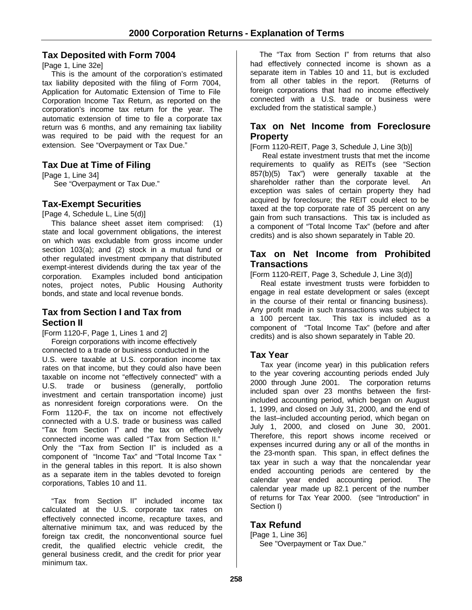# **Tax Deposited with Form 7004**

[Page 1, Line 32e]

This is the amount of the corporation's estimated tax liability deposited with the filing of Form 7004, Application for Automatic Extension of Time to File Corporation Income Tax Return, as reported on the corporation's income tax return for the year. The automatic extension of time to file a corporate tax return was 6 months, and any remaining tax liability was required to be paid with the request for an extension. See "Overpayment or Tax Due."

# **Tax Due at Time of Filing**

[Page 1, Line 34]

See "Overpayment or Tax Due."

# **Tax-Exempt Securities**

[Page 4, Schedule L, Line 5(d)]

This balance sheet asset item comprised: (1) state and local government obligations, the interest on which was excludable from gross income under section 103(a); and (2) stock in a mutual fund or other regulated investment company that distributed exempt-interest dividends during the tax year of the corporation. Examples included bond anticipation notes, project notes, Public Housing Authority bonds, and state and local revenue bonds.

# **Tax from Section I and Tax from Section II**

[Form 1120-F, Page 1, Lines 1 and 2] Foreign corporations with income effectively connected to a trade or business conducted in the U.S. were taxable at U.S. corporation income tax rates on that income, but they could also have been taxable on income not "effectively connected" with a U.S. trade or business (generally, portfolio investment and certain transportation income) just as nonresident foreign corporations were. On the Form 1120-F, the tax on income not effectively connected with a U.S. trade or business was called "Tax from Section I" and the tax on effectively connected income was called "Tax from Section II." Only the "Tax from Section II" is included as a component of "Income Tax" and "Total Income Tax " in the general tables in this report. It is also shown as a separate item in the tables devoted to foreign corporations, Tables 10 and 11.

"Tax from Section II" included income tax calculated at the U.S. corporate tax rates on effectively connected income, recapture taxes, and alternative minimum tax, and was reduced by the foreign tax credit, the nonconventional source fuel credit, the qualified electric vehicle credit, the general business credit, and the credit for prior year minimum tax.

The "Tax from Section I" from returns that also had effectively connected income is shown as a separate item in Tables 10 and 11, but is excluded from all other tables in the report. (Returns of foreign corporations that had no income effectively connected with a U.S. trade or business were excluded from the statistical sample.)

# **Tax on Net Income from Foreclosure Property**

[Form 1120-REIT, Page 3, Schedule J, Line 3(b)]

 Real estate investment trusts that met the income requirements to qualify as REITs (see "Section 857(b)(5) Tax") were generally taxable at the shareholder rather than the corporate level. An exception was sales of certain property they had acquired by foreclosure; the REIT could elect to be taxed at the top corporate rate of 35 percent on any gain from such transactions. This tax is included as a component of "Total Income Tax" (before and after credits) and is also shown separately in Table 20.

# **Tax on Net Income from Prohibited Transactions**

[Form 1120-REIT, Page 3, Schedule J, Line 3(d)]

Real estate investment trusts were forbidden to engage in real estate development or sales (except in the course of their rental or financing business). Any profit made in such transactions was subject to a 100 percent tax. This tax is included as a component of "Total Income Tax" (before and after credits) and is also shown separately in Table 20.

# **Tax Year**

Tax year (income year) in this publication refers to the year covering accounting periods ended July 2000 through June 2001. The corporation returns included span over 23 months between the firstincluded accounting period, which began on August 1, 1999, and closed on July 31, 2000, and the end of the last–included accounting period, which began on July 1, 2000, and closed on June 30, 2001. Therefore, this report shows income received or expenses incurred during any or all of the months in the 23-month span. This span, in effect defines the tax year in such a way that the noncalendar year ended accounting periods are centered by the calendar year ended accounting period. The calendar year made up 82.1 percent of the number of returns for Tax Year 2000. (see "Introduction" in Section I)

# **Tax Refund**

[Page 1, Line 36] See "Overpayment or Tax Due."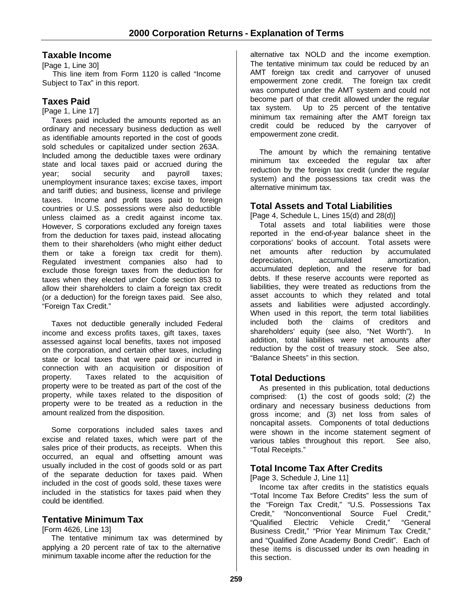# **Taxable Income**

[Page 1, Line 30] This line item from Form 1120 is called "Income Subject to Tax" in this report.

# **Taxes Paid**

[Page 1, Line 17]

Taxes paid included the amounts reported as an ordinary and necessary business deduction as well as identifiable amounts reported in the cost of goods sold schedules or capitalized under section 263A. Included among the deductible taxes were ordinary state and local taxes paid or accrued during the year; social security and payroll taxes; unemployment insurance taxes; excise taxes, import and tariff duties; and business, license and privilege taxes. Income and profit taxes paid to foreign countries or U.S. possessions were also deductible unless claimed as a credit against income tax. However, S corporations excluded any foreign taxes from the deduction for taxes paid, instead allocating them to their shareholders (who might either deduct them or take a foreign tax credit for them). Regulated investment companies also had to exclude those foreign taxes from the deduction for taxes when they elected under Code section 853 to allow their shareholders to claim a foreign tax credit (or a deduction) for the foreign taxes paid. See also, "Foreign Tax Credit."

Taxes not deductible generally included Federal income and excess profits taxes, gift taxes, taxes assessed against local benefits, taxes not imposed on the corporation, and certain other taxes, including state or local taxes that were paid or incurred in connection with an acquisition or disposition of property. Taxes related to the acquisition of property were to be treated as part of the cost of the property, while taxes related to the disposition of property were to be treated as a reduction in the amount realized from the disposition.

Some corporations included sales taxes and excise and related taxes, which were part of the sales price of their products, as receipts. When this occurred, an equal and offsetting amount was usually included in the cost of goods sold or as part of the separate deduction for taxes paid. When included in the cost of goods sold, these taxes were included in the statistics for taxes paid when they could be identified.

### **Tentative Minimum Tax**

[Form 4626, Line 13]

The tentative minimum tax was determined by applying a 20 percent rate of tax to the alternative minimum taxable income after the reduction for the

alternative tax NOLD and the income exemption. The tentative minimum tax could be reduced by an AMT foreign tax credit and carryover of unused empowerment zone credit. The foreign tax credit was computed under the AMT system and could not become part of that credit allowed under the regular tax system. Up to 25 percent of the tentative minimum tax remaining after the AMT foreign tax credit could be reduced by the carryover of empowerment zone credit.

The amount by which the remaining tentative minimum tax exceeded the regular tax after reduction by the foreign tax credit (under the regular system) and the possessions tax credit was the alternative minimum tax.

# **Total Assets and Total Liabilities**

[Page 4, Schedule L, Lines 15(d) and 28(d)]

Total assets and total liabilities were those reported in the end-of-year balance sheet in the corporations' books of account. Total assets were net amounts after reduction by accumulated depreciation, accumulated amortization, accumulated depletion, and the reserve for bad debts. If these reserve accounts were reported as liabilities, they were treated as reductions from the asset accounts to which they related and total assets and liabilities were adjusted accordingly. When used in this report, the term total liabilities included both the claims of creditors and shareholders' equity (see also, "Net Worth"). In addition, total liabilities were net amounts after reduction by the cost of treasury stock. See also, "Balance Sheets" in this section.

### **Total Deductions**

As presented in this publication, total deductions comprised: (1) the cost of goods sold; (2) the ordinary and necessary business deductions from gross income; and (3) net loss from sales of noncapital assets. Components of total deductions were shown in the income statement segment of various tables throughout this report. See also, "Total Receipts."

### **Total Income Tax After Credits**

[Page 3, Schedule J, Line 11]

Income tax after credits in the statistics equals "Total Income Tax Before Credits" less the sum of the "Foreign Tax Credit," "U.S. Possessions Tax Credit," "Nonconventional Source Fuel Credit," "Qualified Electric Vehicle Credit," "General Business Credit," "Prior Year Minimum Tax Credit," and "Qualified Zone Academy Bond Credit". Each of these items is discussed under its own heading in this section.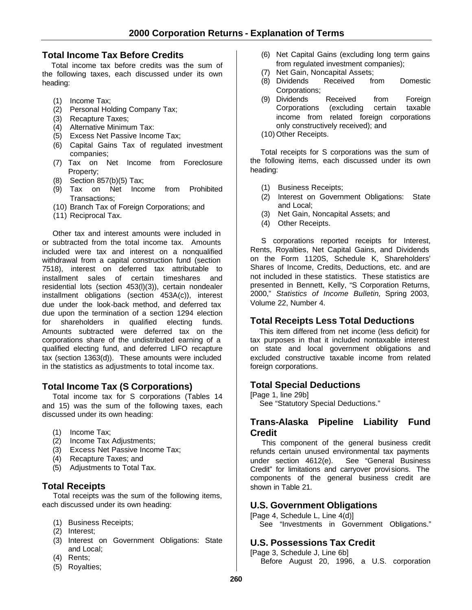# **Total Income Tax Before Credits**

Total income tax before credits was the sum of the following taxes, each discussed under its own heading:

- (1) Income Tax;
- (2) Personal Holding Company Tax;
- (3) Recapture Taxes;
- (4) Alternative Minimum Tax:
- (5) Excess Net Passive Income Tax;
- (6) Capital Gains Tax of regulated investment companies;
- (7) Tax on Net Income from Foreclosure Property;
- (8) Section 857(b)(5) Tax;
- (9) Tax on Net Income from Prohibited Transactions;
- (10) Branch Tax of Foreign Corporations; and
- (11) Reciprocal Tax.

Other tax and interest amounts were included in or subtracted from the total income tax. Amounts included were tax and interest on a nonqualified withdrawal from a capital construction fund (section 7518), interest on deferred tax attributable to installment sales of certain timeshares and residential lots (section 453(l)(3)), certain nondealer installment obligations (section 453A(c)), interest due under the look-back method, and deferred tax due upon the termination of a section 1294 election for shareholders in qualified electing funds. Amounts subtracted were deferred tax on the corporations share of the undistributed earning of a qualified electing fund, and deferred LIFO recapture tax (section 1363(d)). These amounts were included in the statistics as adjustments to total income tax.

# **Total Income Tax (S Corporations)**

Total income tax for S corporations (Tables 14 and 15) was the sum of the following taxes, each discussed under its own heading:

- (1) Income Tax;
- (2) Income Tax Adjustments;
- (3) Excess Net Passive Income Tax;
- (4) Recapture Taxes; and
- (5) Adjustments to Total Tax.

# **Total Receipts**

Total receipts was the sum of the following items, each discussed under its own heading:

- (1) Business Receipts;
- (2) Interest;
- (3) Interest on Government Obligations: State and Local;
- (4) Rents;
- (5) Royalties;
- (6) Net Capital Gains (excluding long term gains from regulated investment companies);
- (7) Net Gain, Noncapital Assets;
- (8) Dividends Received from Domestic Corporations;
- (9) Dividends Received from Foreign Corporations (excluding certain taxable income from related foreign corporations only constructively received); and
- (10) Other Receipts.

Total receipts for S corporations was the sum of the following items, each discussed under its own heading:

- (1) Business Receipts;
- (2) Interest on Government Obligations: State and Local;
- (3) Net Gain, Noncapital Assets; and
- (4) Other Receipts.

S corporations reported receipts for Interest, Rents, Royalties, Net Capital Gains, and Dividends on the Form 1120S, Schedule K, Shareholders' Shares of Income, Credits, Deductions, etc. and are not included in these statistics. These statistics are presented in Bennett, Kelly, "S Corporation Returns, 2000," *Statistics of Income Bulletin,* Spring 2003, Volume 22, Number 4.

### **Total Receipts Less Total Deductions**

This item differed from net income (less deficit) for tax purposes in that it included nontaxable interest on state and local government obligations and excluded constructive taxable income from related foreign corporations.

# **Total Special Deductions**

[Page 1, line 29b] See "Statutory Special Deductions."

# **Trans-Alaska Pipeline Liability Fund Credit**

 This component of the general business credit refunds certain unused environmental tax payments under section 4612(e). See "General Business Credit" for limitations and carryover provi sions. The components of the general business credit are shown in Table 21.

# **U.S. Government Obligations**

[Page 4, Schedule L, Line 4(d)] See "Investments in Government Obligations."

# **U.S. Possessions Tax Credit**

[Page 3, Schedule J, Line 6b] Before August 20, 1996, a U.S. corporation